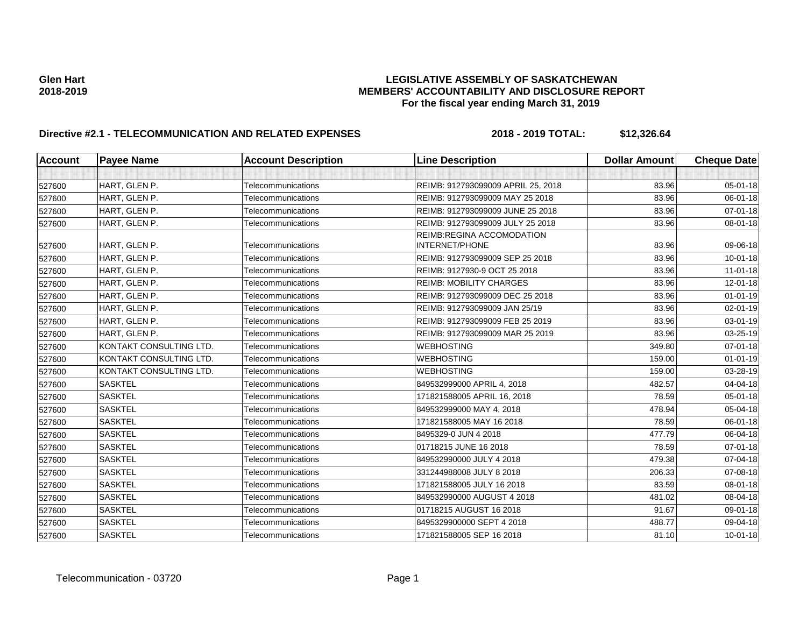| Account | <b>Payee Name</b>       | <b>Account Description</b> | <b>Line Description</b>                            | <b>Dollar Amount</b> | <b>Cheque Date</b> |
|---------|-------------------------|----------------------------|----------------------------------------------------|----------------------|--------------------|
|         |                         |                            |                                                    |                      |                    |
| 527600  | HART, GLEN P.           | Telecommunications         | REIMB: 912793099009 APRIL 25, 2018                 | 83.96                | 05-01-18           |
| 527600  | HART, GLEN P.           | Telecommunications         | REIMB: 912793099009 MAY 25 2018                    | 83.96                | 06-01-18           |
| 527600  | HART, GLEN P.           | Telecommunications         | REIMB: 912793099009 JUNE 25 2018                   | 83.96                | $07 - 01 - 18$     |
| 527600  | HART, GLEN P.           | Telecommunications         | REIMB: 912793099009 JULY 25 2018                   | 83.96                | 08-01-18           |
| 527600  | HART, GLEN P.           | Telecommunications         | REIMB:REGINA ACCOMODATION<br><b>INTERNET/PHONE</b> | 83.96                | 09-06-18           |
| 527600  | HART, GLEN P.           | Telecommunications         | REIMB: 912793099009 SEP 25 2018                    | 83.96                | $10 - 01 - 18$     |
| 527600  | HART, GLEN P.           | Telecommunications         | REIMB: 9127930-9 OCT 25 2018                       | 83.96                | $11 - 01 - 18$     |
| 527600  | HART, GLEN P.           | Telecommunications         | <b>REIMB: MOBILITY CHARGES</b>                     | 83.96                | $12 - 01 - 18$     |
| 527600  | HART, GLEN P.           | Telecommunications         | REIMB: 912793099009 DEC 25 2018                    | 83.96                | $01 - 01 - 19$     |
| 527600  | HART, GLEN P.           | Telecommunications         | REIMB: 912793099009 JAN 25/19                      | 83.96                | 02-01-19           |
| 527600  | HART, GLEN P.           | Telecommunications         | REIMB: 912793099009 FEB 25 2019                    | 83.96                | 03-01-19           |
| 527600  | HART, GLEN P.           | Telecommunications         | REIMB: 912793099009 MAR 25 2019                    | 83.96                | 03-25-19           |
| 527600  | KONTAKT CONSULTING LTD. | Telecommunications         | <b>WEBHOSTING</b>                                  | 349.80               | 07-01-18           |
| 527600  | KONTAKT CONSULTING LTD. | Telecommunications         | <b>WEBHOSTING</b>                                  | 159.00               | $01 - 01 - 19$     |
| 527600  | KONTAKT CONSULTING LTD. | Telecommunications         | <b>WEBHOSTING</b>                                  | 159.00               | 03-28-19           |
| 527600  | <b>SASKTEL</b>          | Telecommunications         | 849532999000 APRIL 4, 2018                         | 482.57               | 04-04-18           |
| 527600  | <b>SASKTEL</b>          | Telecommunications         | 171821588005 APRIL 16, 2018                        | 78.59                | 05-01-18           |
| 527600  | <b>SASKTEL</b>          | Telecommunications         | 849532999000 MAY 4, 2018                           | 478.94               | 05-04-18           |
| 527600  | <b>SASKTEL</b>          | Telecommunications         | 171821588005 MAY 16 2018                           | 78.59                | 06-01-18           |
| 527600  | <b>SASKTEL</b>          | Telecommunications         | 8495329-0 JUN 4 2018                               | 477.79               | 06-04-18           |
| 527600  | <b>SASKTEL</b>          | Telecommunications         | 01718215 JUNE 16 2018                              | 78.59                | 07-01-18           |
| 527600  | <b>SASKTEL</b>          | Telecommunications         | 849532990000 JULY 4 2018                           | 479.38               | 07-04-18           |
| 527600  | <b>SASKTEL</b>          | Telecommunications         | 331244988008 JULY 8 2018                           | 206.33               | 07-08-18           |
| 527600  | <b>SASKTEL</b>          | Telecommunications         | 171821588005 JULY 16 2018                          | 83.59                | 08-01-18           |
| 527600  | <b>SASKTEL</b>          | Telecommunications         | 849532990000 AUGUST 4 2018                         | 481.02               | 08-04-18           |
| 527600  | <b>SASKTEL</b>          | Telecommunications         | 01718215 AUGUST 16 2018                            | 91.67                | 09-01-18           |
| 527600  | <b>SASKTEL</b>          | Telecommunications         | 8495329900000 SEPT 4 2018                          | 488.77               | 09-04-18           |
| 527600  | <b>SASKTEL</b>          | Telecommunications         | 171821588005 SEP 16 2018                           | 81.10                | $10 - 01 - 18$     |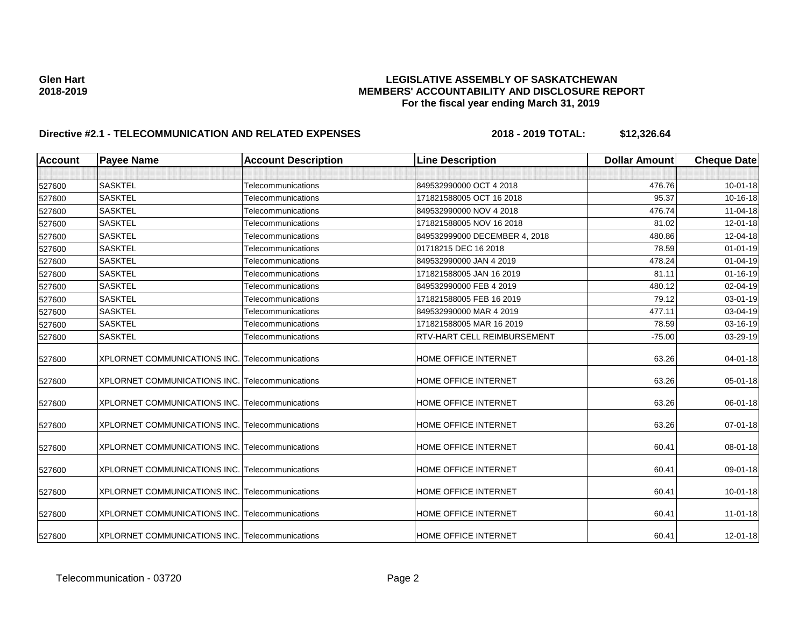| <b>Account</b> | <b>Payee Name</b>                                      | <b>Account Description</b> | <b>Line Description</b>       | <b>Dollar Amount</b> | <b>Cheque Date</b> |
|----------------|--------------------------------------------------------|----------------------------|-------------------------------|----------------------|--------------------|
|                |                                                        |                            |                               |                      |                    |
| 527600         | <b>SASKTEL</b>                                         | Telecommunications         | 849532990000 OCT 4 2018       | 476.76               | $10 - 01 - 18$     |
| 527600         | <b>SASKTEL</b>                                         | Telecommunications         | 171821588005 OCT 16 2018      | 95.37                | 10-16-18           |
| 527600         | <b>SASKTEL</b>                                         | Telecommunications         | 849532990000 NOV 4 2018       | 476.74               | 11-04-18           |
| 527600         | <b>SASKTEL</b>                                         | Telecommunications         | 171821588005 NOV 16 2018      | 81.02                | 12-01-18           |
| 527600         | <b>SASKTEL</b>                                         | Telecommunications         | 849532999000 DECEMBER 4, 2018 | 480.86               | 12-04-18           |
| 527600         | <b>SASKTEL</b>                                         | Telecommunications         | 01718215 DEC 16 2018          | 78.59                | $01 - 01 - 19$     |
| 527600         | <b>SASKTEL</b>                                         | Telecommunications         | 849532990000 JAN 4 2019       | 478.24               | $01 - 04 - 19$     |
| 527600         | <b>SASKTEL</b>                                         | Telecommunications         | 171821588005 JAN 16 2019      | 81.11                | $01 - 16 - 19$     |
| 527600         | <b>SASKTEL</b>                                         | Telecommunications         | 849532990000 FEB 4 2019       | 480.12               | 02-04-19           |
| 527600         | <b>SASKTEL</b>                                         | Telecommunications         | 171821588005 FEB 16 2019      | 79.12                | 03-01-19           |
| 527600         | <b>SASKTEL</b>                                         | Telecommunications         | 849532990000 MAR 4 2019       | 477.11               | 03-04-19           |
| 527600         | <b>SASKTEL</b>                                         | Telecommunications         | 171821588005 MAR 16 2019      | 78.59                | 03-16-19           |
| 527600         | <b>SASKTEL</b>                                         | Telecommunications         | RTV-HART CELL REIMBURSEMENT   | $-75.00$             | 03-29-19           |
| 527600         | XPLORNET COMMUNICATIONS INC. Telecommunications        |                            | HOME OFFICE INTERNET          | 63.26                | $04 - 01 - 18$     |
| 527600         | XPLORNET COMMUNICATIONS INC. Telecommunications        |                            | HOME OFFICE INTERNET          | 63.26                | 05-01-18           |
| 527600         | <b>XPLORNET COMMUNICATIONS INC. Telecommunications</b> |                            | HOME OFFICE INTERNET          | 63.26                | 06-01-18           |
| 527600         | XPLORNET COMMUNICATIONS INC. Telecommunications        |                            | HOME OFFICE INTERNET          | 63.26                | 07-01-18           |
| 527600         | XPLORNET COMMUNICATIONS INC. Telecommunications        |                            | HOME OFFICE INTERNET          | 60.41                | 08-01-18           |
| 527600         | XPLORNET COMMUNICATIONS INC. Telecommunications        |                            | HOME OFFICE INTERNET          | 60.41                | 09-01-18           |
| 527600         | XPLORNET COMMUNICATIONS INC. Telecommunications        |                            | HOME OFFICE INTERNET          | 60.41                | 10-01-18           |
| 527600         | XPLORNET COMMUNICATIONS INC. Telecommunications        |                            | HOME OFFICE INTERNET          | 60.41                | $11 - 01 - 18$     |
| 527600         | XPLORNET COMMUNICATIONS INC. Telecommunications        |                            | HOME OFFICE INTERNET          | 60.41                | 12-01-18           |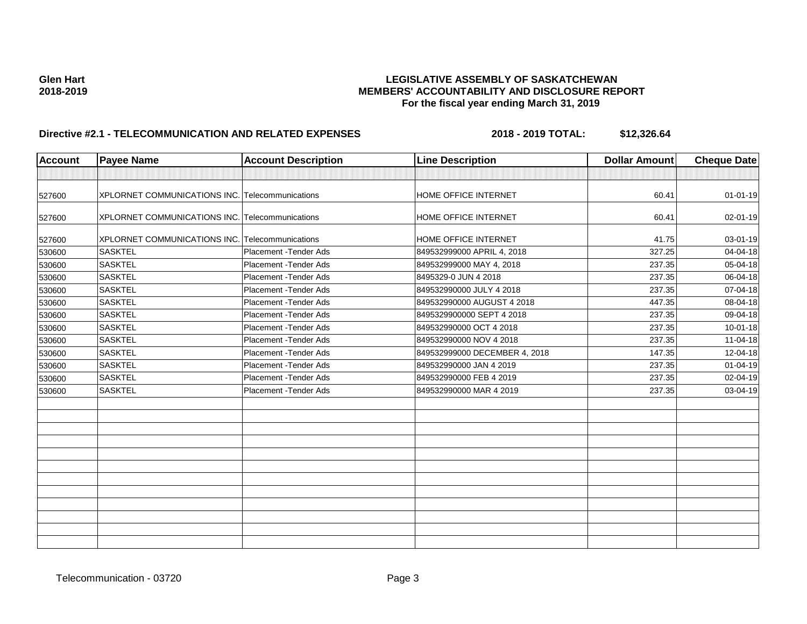| <b>Account</b> | <b>Payee Name</b>                                      | <b>Account Description</b> | <b>Line Description</b>       | <b>Dollar Amount</b> | <b>Cheque Date</b> |
|----------------|--------------------------------------------------------|----------------------------|-------------------------------|----------------------|--------------------|
|                |                                                        |                            |                               |                      |                    |
| 527600         | <b>XPLORNET COMMUNICATIONS INC. Telecommunications</b> |                            | <b>HOME OFFICE INTERNET</b>   | 60.41                | $01 - 01 - 19$     |
| 527600         | XPLORNET COMMUNICATIONS INC. Telecommunications        |                            | HOME OFFICE INTERNET          | 60.41                | 02-01-19           |
| 527600         | XPLORNET COMMUNICATIONS INC. Telecommunications        |                            | <b>HOME OFFICE INTERNET</b>   | 41.75                | 03-01-19           |
| 530600         | <b>SASKTEL</b>                                         | Placement - Tender Ads     | 849532999000 APRIL 4, 2018    | 327.25               | 04-04-18           |
| 530600         | <b>SASKTEL</b>                                         | Placement - Tender Ads     | 849532999000 MAY 4, 2018      | 237.35               | 05-04-18           |
| 530600         | <b>SASKTEL</b>                                         | Placement - Tender Ads     | 8495329-0 JUN 4 2018          | 237.35               | 06-04-18           |
| 530600         | <b>SASKTEL</b>                                         | Placement - Tender Ads     | 849532990000 JULY 4 2018      | 237.35               | 07-04-18           |
| 530600         | <b>SASKTEL</b>                                         | Placement - Tender Ads     | 849532990000 AUGUST 4 2018    | 447.35               | 08-04-18           |
| 530600         | <b>SASKTEL</b>                                         | Placement - Tender Ads     | 8495329900000 SEPT 4 2018     | 237.35               | 09-04-18           |
| 530600         | <b>SASKTEL</b>                                         | Placement - Tender Ads     | 849532990000 OCT 4 2018       | 237.35               | $10 - 01 - 18$     |
| 530600         | <b>SASKTEL</b>                                         | Placement - Tender Ads     | 849532990000 NOV 4 2018       | 237.35               | $11 - 04 - 18$     |
| 530600         | <b>SASKTEL</b>                                         | Placement - Tender Ads     | 849532999000 DECEMBER 4, 2018 | 147.35               | 12-04-18           |
| 530600         | <b>SASKTEL</b>                                         | Placement - Tender Ads     | 849532990000 JAN 4 2019       | 237.35               | 01-04-19           |
| 530600         | <b>SASKTEL</b>                                         | Placement - Tender Ads     | 849532990000 FEB 4 2019       | 237.35               | 02-04-19           |
| 530600         | <b>SASKTEL</b>                                         | Placement - Tender Ads     | 849532990000 MAR 4 2019       | 237.35               | 03-04-19           |
|                |                                                        |                            |                               |                      |                    |
|                |                                                        |                            |                               |                      |                    |
|                |                                                        |                            |                               |                      |                    |
|                |                                                        |                            |                               |                      |                    |
|                |                                                        |                            |                               |                      |                    |
|                |                                                        |                            |                               |                      |                    |
|                |                                                        |                            |                               |                      |                    |
|                |                                                        |                            |                               |                      |                    |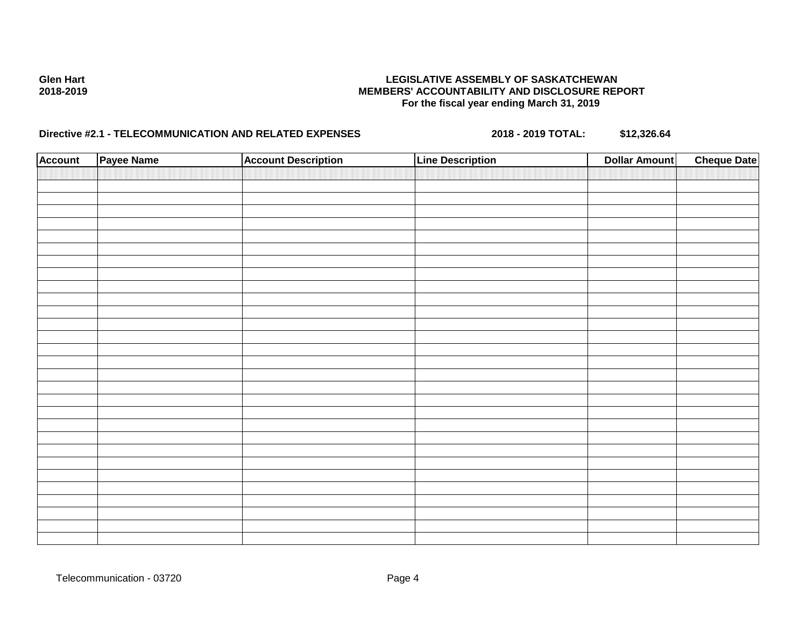| <b>Account</b> | Payee Name | <b>Account Description</b> | <b>Line Description</b> | <b>Dollar Amount</b> | <b>Cheque Date</b> |
|----------------|------------|----------------------------|-------------------------|----------------------|--------------------|
|                |            |                            |                         |                      |                    |
|                |            |                            |                         |                      |                    |
|                |            |                            |                         |                      |                    |
|                |            |                            |                         |                      |                    |
|                |            |                            |                         |                      |                    |
|                |            |                            |                         |                      |                    |
|                |            |                            |                         |                      |                    |
|                |            |                            |                         |                      |                    |
|                |            |                            |                         |                      |                    |
|                |            |                            |                         |                      |                    |
|                |            |                            |                         |                      |                    |
|                |            |                            |                         |                      |                    |
|                |            |                            |                         |                      |                    |
|                |            |                            |                         |                      |                    |
|                |            |                            |                         |                      |                    |
|                |            |                            |                         |                      |                    |
|                |            |                            |                         |                      |                    |
|                |            |                            |                         |                      |                    |
|                |            |                            |                         |                      |                    |
|                |            |                            |                         |                      |                    |
|                |            |                            |                         |                      |                    |
|                |            |                            |                         |                      |                    |
|                |            |                            |                         |                      |                    |
|                |            |                            |                         |                      |                    |
|                |            |                            |                         |                      |                    |
|                |            |                            |                         |                      |                    |
|                |            |                            |                         |                      |                    |
|                |            |                            |                         |                      |                    |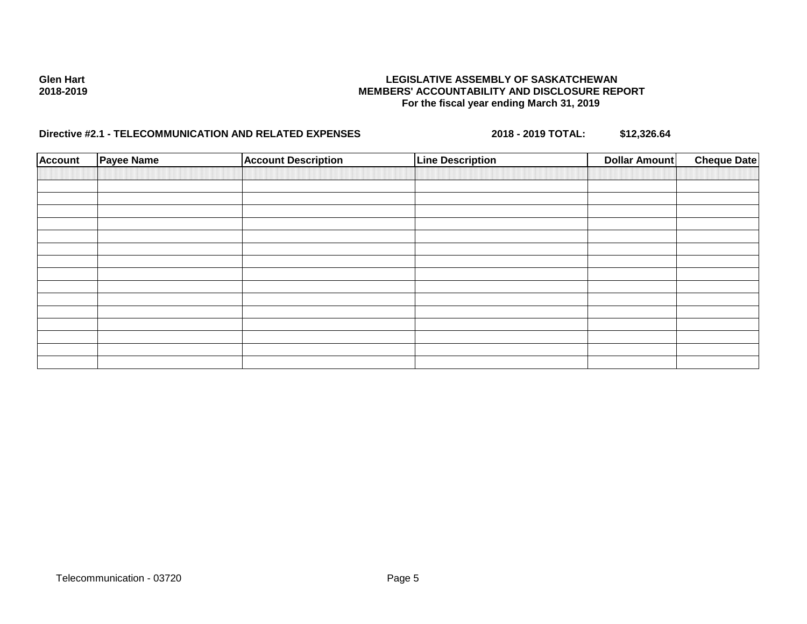| <b>Account</b> | <b>Payee Name</b> | <b>Account Description</b> | <b>Line Description</b> | Dollar Amount | <b>Cheque Date</b> |
|----------------|-------------------|----------------------------|-------------------------|---------------|--------------------|
|                |                   |                            |                         |               |                    |
|                |                   |                            |                         |               |                    |
|                |                   |                            |                         |               |                    |
|                |                   |                            |                         |               |                    |
|                |                   |                            |                         |               |                    |
|                |                   |                            |                         |               |                    |
|                |                   |                            |                         |               |                    |
|                |                   |                            |                         |               |                    |
|                |                   |                            |                         |               |                    |
|                |                   |                            |                         |               |                    |
|                |                   |                            |                         |               |                    |
|                |                   |                            |                         |               |                    |
|                |                   |                            |                         |               |                    |
|                |                   |                            |                         |               |                    |
|                |                   |                            |                         |               |                    |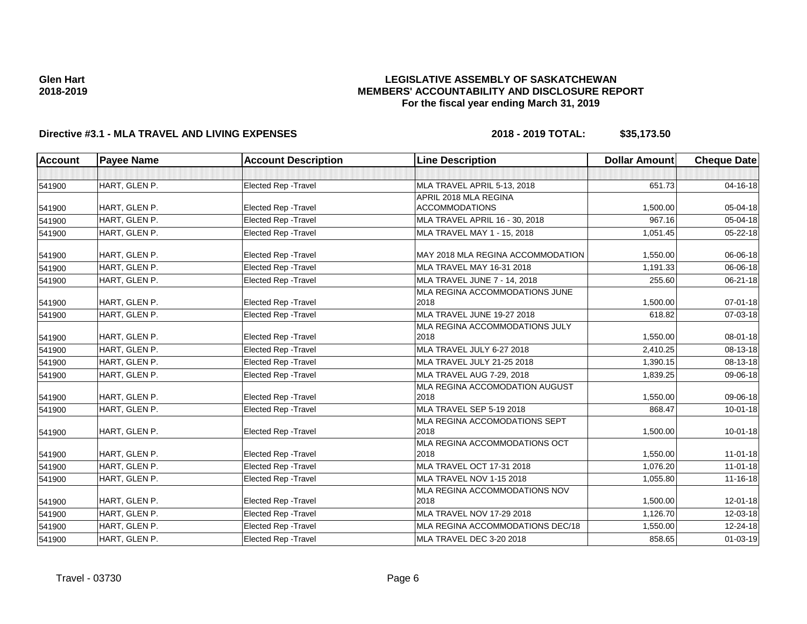# **LEGISLATIVE ASSEMBLY OF SASKATCHEWAN MEMBERS' ACCOUNTABILITY AND DISCLOSURE REPORT For the fiscal year ending March 31, 2019**

# **Directive #3.1 - MLA TRAVEL AND LIVING EXPENSES 2018 - 2019 TOTAL: \$35,173.50**

| <b>Account</b> | <b>Payee Name</b> | <b>Account Description</b>  | <b>Line Description</b>                | <b>Dollar Amount</b> | <b>Cheque Date</b> |
|----------------|-------------------|-----------------------------|----------------------------------------|----------------------|--------------------|
|                |                   |                             |                                        |                      |                    |
| 541900         | HART, GLEN P.     | <b>Elected Rep - Travel</b> | MLA TRAVEL APRIL 5-13, 2018            | 651.73               | $04 - 16 - 18$     |
|                |                   |                             | APRIL 2018 MLA REGINA                  |                      |                    |
| 541900         | HART, GLEN P.     | <b>Elected Rep - Travel</b> | <b>ACCOMMODATIONS</b>                  | 1,500.00             | 05-04-18           |
| 541900         | HART, GLEN P.     | <b>Elected Rep - Travel</b> | MLA TRAVEL APRIL 16 - 30, 2018         | 967.16               | 05-04-18           |
| 541900         | HART, GLEN P.     | Elected Rep - Travel        | MLA TRAVEL MAY 1 - 15, 2018            | 1,051.45             | 05-22-18           |
| 541900         | HART, GLEN P.     | Elected Rep - Travel        | MAY 2018 MLA REGINA ACCOMMODATION      | 1,550.00             | 06-06-18           |
| 541900         | HART, GLEN P.     | <b>Elected Rep - Travel</b> | MLA TRAVEL MAY 16-31 2018              | 1,191.33             | 06-06-18           |
| 541900         | HART, GLEN P.     | Elected Rep - Travel        | MLA TRAVEL JUNE 7 - 14, 2018           | 255.60               | 06-21-18           |
|                |                   |                             | MLA REGINA ACCOMMODATIONS JUNE         |                      |                    |
| 541900         | HART, GLEN P.     | <b>Elected Rep - Travel</b> | 2018                                   | 1,500.00             | $07 - 01 - 18$     |
| 541900         | HART, GLEN P.     | Elected Rep - Travel        | MLA TRAVEL JUNE 19-27 2018             | 618.82               | 07-03-18           |
|                |                   |                             | MLA REGINA ACCOMMODATIONS JULY         |                      |                    |
| 541900         | HART, GLEN P.     | Elected Rep - Travel        | 2018                                   | 1,550.00             | $08 - 01 - 18$     |
| 541900         | HART, GLEN P.     | Elected Rep - Travel        | MLA TRAVEL JULY 6-27 2018              | 2,410.25             | 08-13-18           |
| 541900         | HART, GLEN P.     | Elected Rep - Travel        | MLA TRAVEL JULY 21-25 2018             | 1,390.15             | 08-13-18           |
| 541900         | HART, GLEN P.     | Elected Rep - Travel        | MLA TRAVEL AUG 7-29, 2018              | 1,839.25             | 09-06-18           |
| 541900         | HART, GLEN P.     | <b>Elected Rep - Travel</b> | MLA REGINA ACCOMODATION AUGUST<br>2018 | 1.550.00             | 09-06-18           |
| 541900         | HART, GLEN P.     | Elected Rep - Travel        | MLA TRAVEL SEP 5-19 2018               | 868.47               | 10-01-18           |
|                |                   |                             | MLA REGINA ACCOMODATIONS SEPT          |                      |                    |
| 541900         | HART, GLEN P.     | <b>Elected Rep - Travel</b> | 2018                                   | 1,500.00             | $10 - 01 - 18$     |
|                |                   |                             | MLA REGINA ACCOMMODATIONS OCT          |                      |                    |
| 541900         | HART, GLEN P.     | Elected Rep - Travel        | 2018                                   | 1,550.00             | $11-01-18$         |
| 541900         | HART, GLEN P.     | <b>Elected Rep - Travel</b> | MLA TRAVEL OCT 17-31 2018              | 1,076.20             | $11 - 01 - 18$     |
| 541900         | HART, GLEN P.     | Elected Rep - Travel        | MLA TRAVEL NOV 1-15 2018               | 1,055.80             | 11-16-18           |
|                |                   |                             | <b>MLA REGINA ACCOMMODATIONS NOV</b>   |                      |                    |
| 541900         | HART, GLEN P.     | Elected Rep - Travel        | 2018                                   | 1,500.00             | 12-01-18           |
| 541900         | HART, GLEN P.     | Elected Rep - Travel        | <b>MLA TRAVEL NOV 17-29 2018</b>       | 1,126.70             | 12-03-18           |
| 541900         | HART, GLEN P.     | Elected Rep - Travel        | MLA REGINA ACCOMMODATIONS DEC/18       | 1,550.00             | 12-24-18           |
| 541900         | HART, GLEN P.     | Elected Rep - Travel        | MLA TRAVEL DEC 3-20 2018               | 858.65               | 01-03-19           |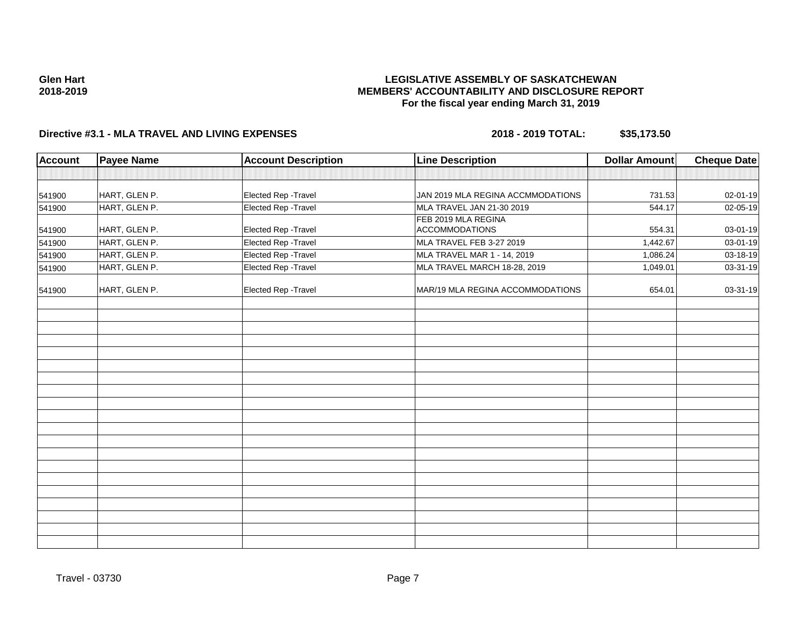# **Directive #3.1 - MLA TRAVEL AND LIVING EXPENSES 2018 - 2019 TOTAL: \$35,173.50**

| Account | <b>Payee Name</b> | <b>Account Description</b> | <b>Line Description</b>           | <b>Dollar Amount</b> | <b>Cheque Date</b> |
|---------|-------------------|----------------------------|-----------------------------------|----------------------|--------------------|
|         |                   |                            |                                   |                      |                    |
| 541900  | HART, GLEN P.     | Elected Rep - Travel       | JAN 2019 MLA REGINA ACCMMODATIONS | 731.53               | 02-01-19           |
| 541900  | HART, GLEN P.     | Elected Rep - Travel       | MLA TRAVEL JAN 21-30 2019         | 544.17               | 02-05-19           |
|         |                   |                            | FEB 2019 MLA REGINA               |                      |                    |
| 541900  | HART, GLEN P.     | Elected Rep - Travel       | <b>ACCOMMODATIONS</b>             | 554.31               | 03-01-19           |
| 541900  | HART, GLEN P.     | Elected Rep - Travel       | MLA TRAVEL FEB 3-27 2019          | 1,442.67             | 03-01-19           |
| 541900  | HART, GLEN P.     | Elected Rep - Travel       | MLA TRAVEL MAR 1 - 14, 2019       | 1,086.24             | 03-18-19           |
| 541900  | HART, GLEN P.     | Elected Rep - Travel       | MLA TRAVEL MARCH 18-28, 2019      | 1,049.01             | 03-31-19           |
| 541900  | HART, GLEN P.     | Elected Rep - Travel       | MAR/19 MLA REGINA ACCOMMODATIONS  | 654.01               | 03-31-19           |
|         |                   |                            |                                   |                      |                    |
|         |                   |                            |                                   |                      |                    |
|         |                   |                            |                                   |                      |                    |
|         |                   |                            |                                   |                      |                    |
|         |                   |                            |                                   |                      |                    |
|         |                   |                            |                                   |                      |                    |
|         |                   |                            |                                   |                      |                    |
|         |                   |                            |                                   |                      |                    |
|         |                   |                            |                                   |                      |                    |
|         |                   |                            |                                   |                      |                    |
|         |                   |                            |                                   |                      |                    |
|         |                   |                            |                                   |                      |                    |
|         |                   |                            |                                   |                      |                    |
|         |                   |                            |                                   |                      |                    |
|         |                   |                            |                                   |                      |                    |
|         |                   |                            |                                   |                      |                    |
|         |                   |                            |                                   |                      |                    |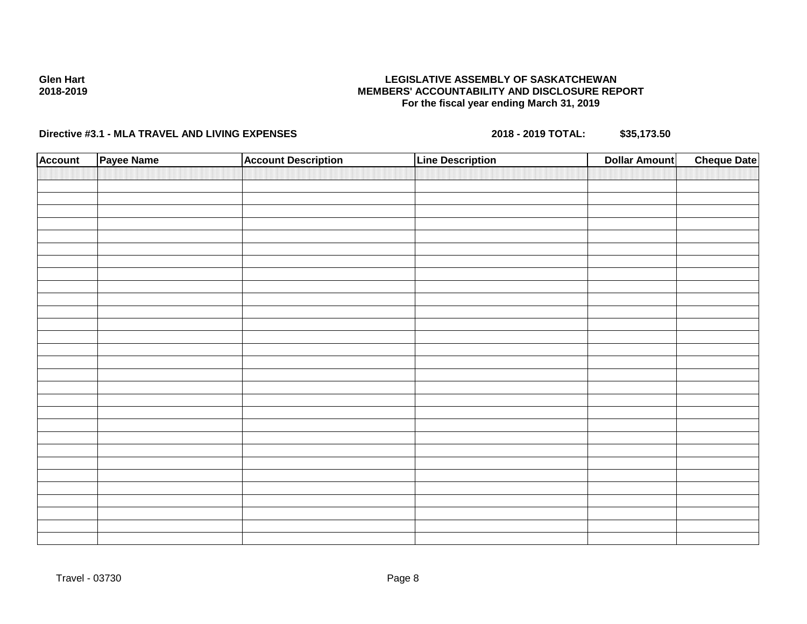# **Directive #3.1 - MLA TRAVEL AND LIVING EXPENSES 2018 - 2019 TOTAL: \$35,173.50**

| <b>Account</b> | Payee Name | <b>Account Description</b> | <b>Line Description</b> | <b>Dollar Amount</b> | <b>Cheque Date</b> |
|----------------|------------|----------------------------|-------------------------|----------------------|--------------------|
|                |            |                            |                         |                      |                    |
|                |            |                            |                         |                      |                    |
|                |            |                            |                         |                      |                    |
|                |            |                            |                         |                      |                    |
|                |            |                            |                         |                      |                    |
|                |            |                            |                         |                      |                    |
|                |            |                            |                         |                      |                    |
|                |            |                            |                         |                      |                    |
|                |            |                            |                         |                      |                    |
|                |            |                            |                         |                      |                    |
|                |            |                            |                         |                      |                    |
|                |            |                            |                         |                      |                    |
|                |            |                            |                         |                      |                    |
|                |            |                            |                         |                      |                    |
|                |            |                            |                         |                      |                    |
|                |            |                            |                         |                      |                    |
|                |            |                            |                         |                      |                    |
|                |            |                            |                         |                      |                    |
|                |            |                            |                         |                      |                    |
|                |            |                            |                         |                      |                    |
|                |            |                            |                         |                      |                    |
|                |            |                            |                         |                      |                    |
|                |            |                            |                         |                      |                    |
|                |            |                            |                         |                      |                    |
|                |            |                            |                         |                      |                    |
|                |            |                            |                         |                      |                    |
|                |            |                            |                         |                      |                    |
|                |            |                            |                         |                      |                    |
|                |            |                            |                         |                      |                    |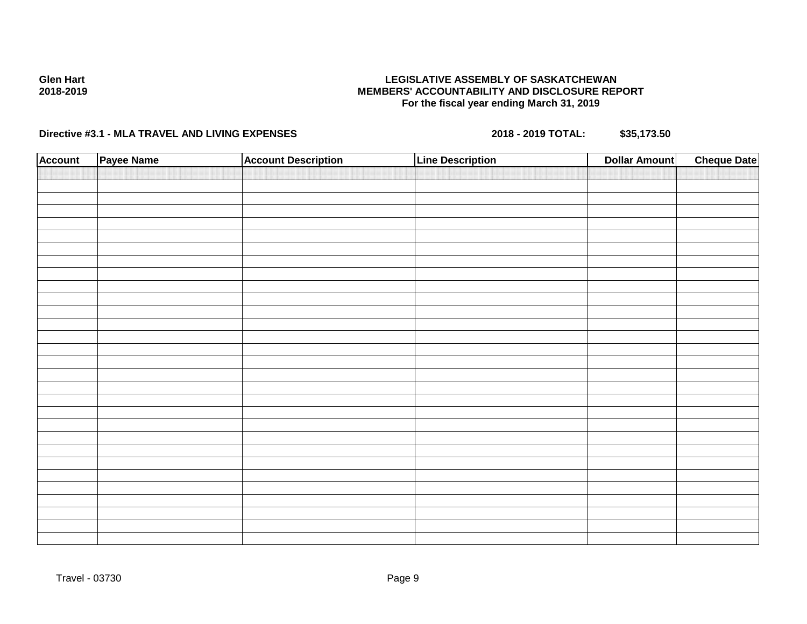# **Directive #3.1 - MLA TRAVEL AND LIVING EXPENSES 2018 - 2019 TOTAL: \$35,173.50**

| <b>Account</b> | Payee Name | <b>Account Description</b> | <b>Line Description</b> | <b>Dollar Amount</b> | <b>Cheque Date</b> |
|----------------|------------|----------------------------|-------------------------|----------------------|--------------------|
|                |            |                            |                         |                      |                    |
|                |            |                            |                         |                      |                    |
|                |            |                            |                         |                      |                    |
|                |            |                            |                         |                      |                    |
|                |            |                            |                         |                      |                    |
|                |            |                            |                         |                      |                    |
|                |            |                            |                         |                      |                    |
|                |            |                            |                         |                      |                    |
|                |            |                            |                         |                      |                    |
|                |            |                            |                         |                      |                    |
|                |            |                            |                         |                      |                    |
|                |            |                            |                         |                      |                    |
|                |            |                            |                         |                      |                    |
|                |            |                            |                         |                      |                    |
|                |            |                            |                         |                      |                    |
|                |            |                            |                         |                      |                    |
|                |            |                            |                         |                      |                    |
|                |            |                            |                         |                      |                    |
|                |            |                            |                         |                      |                    |
|                |            |                            |                         |                      |                    |
|                |            |                            |                         |                      |                    |
|                |            |                            |                         |                      |                    |
|                |            |                            |                         |                      |                    |
|                |            |                            |                         |                      |                    |
|                |            |                            |                         |                      |                    |
|                |            |                            |                         |                      |                    |
|                |            |                            |                         |                      |                    |
|                |            |                            |                         |                      |                    |
|                |            |                            |                         |                      |                    |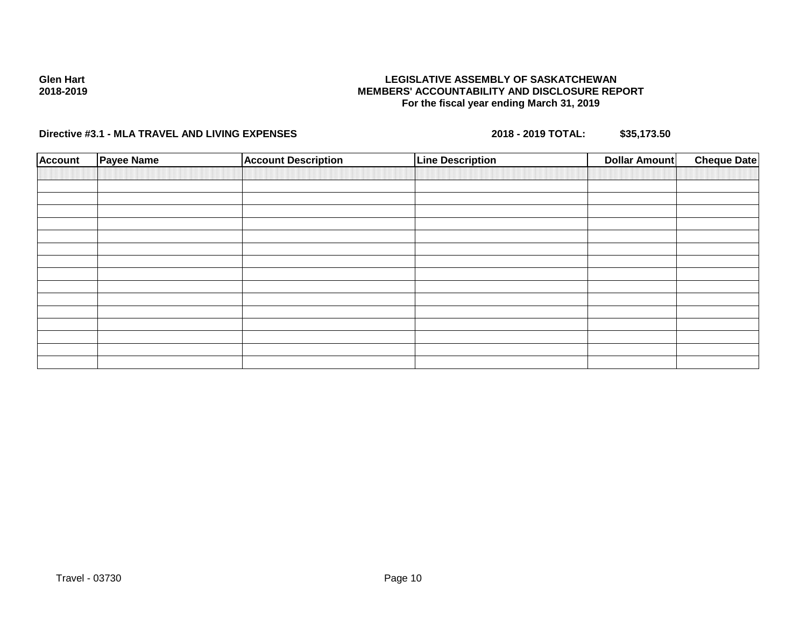# **Directive #3.1 - MLA TRAVEL AND LIVING EXPENSES 2018 - 2019 TOTAL: \$35,173.50**

| <b>Account</b> | <b>Payee Name</b> | <b>Account Description</b> | <b>Line Description</b> | Dollar Amount | <b>Cheque Date</b> |
|----------------|-------------------|----------------------------|-------------------------|---------------|--------------------|
|                |                   |                            |                         |               |                    |
|                |                   |                            |                         |               |                    |
|                |                   |                            |                         |               |                    |
|                |                   |                            |                         |               |                    |
|                |                   |                            |                         |               |                    |
|                |                   |                            |                         |               |                    |
|                |                   |                            |                         |               |                    |
|                |                   |                            |                         |               |                    |
|                |                   |                            |                         |               |                    |
|                |                   |                            |                         |               |                    |
|                |                   |                            |                         |               |                    |
|                |                   |                            |                         |               |                    |
|                |                   |                            |                         |               |                    |
|                |                   |                            |                         |               |                    |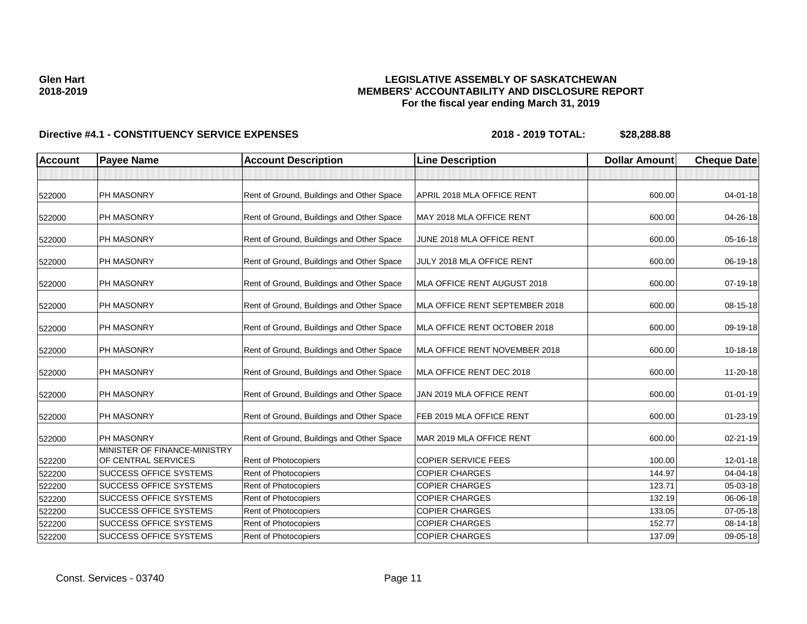# **LEGISLATIVE ASSEMBLY OF SASKATCHEWAN MEMBERS' ACCOUNTABILITY AND DISCLOSURE REPORT For the fiscal year ending March 31, 2019**

| <b>Account</b> | <b>Payee Name</b>                                   | <b>Account Description</b>                | <b>Line Description</b>        | <b>Dollar Amount</b> | <b>Cheque Date</b> |
|----------------|-----------------------------------------------------|-------------------------------------------|--------------------------------|----------------------|--------------------|
|                |                                                     |                                           |                                |                      |                    |
| 522000         | PH MASONRY                                          | Rent of Ground, Buildings and Other Space | APRIL 2018 MLA OFFICE RENT     | 600.00               | $04 - 01 - 18$     |
| 522000         | PH MASONRY                                          | Rent of Ground, Buildings and Other Space | MAY 2018 MLA OFFICE RENT       | 600.00               | 04-26-18           |
| 522000         | PH MASONRY                                          | Rent of Ground, Buildings and Other Space | JUNE 2018 MLA OFFICE RENT      | 600.00               | 05-16-18           |
| 522000         | PH MASONRY                                          | Rent of Ground, Buildings and Other Space | JULY 2018 MLA OFFICE RENT      | 600.00               | 06-19-18           |
| 522000         | PH MASONRY                                          | Rent of Ground, Buildings and Other Space | MLA OFFICE RENT AUGUST 2018    | 600.00               | 07-19-18           |
| 522000         | PH MASONRY                                          | Rent of Ground, Buildings and Other Space | MLA OFFICE RENT SEPTEMBER 2018 | 600.00               | 08-15-18           |
| 522000         | PH MASONRY                                          | Rent of Ground, Buildings and Other Space | MLA OFFICE RENT OCTOBER 2018   | 600.00               | 09-19-18           |
| 522000         | PH MASONRY                                          | Rent of Ground, Buildings and Other Space | MLA OFFICE RENT NOVEMBER 2018  | 600.00               | 10-18-18           |
| 522000         | PH MASONRY                                          | Rent of Ground, Buildings and Other Space | MLA OFFICE RENT DEC 2018       | 600.00               | 11-20-18           |
| 522000         | PH MASONRY                                          | Rent of Ground, Buildings and Other Space | JAN 2019 MLA OFFICE RENT       | 600.00               | $01 - 01 - 19$     |
| 522000         | PH MASONRY                                          | Rent of Ground, Buildings and Other Space | FEB 2019 MLA OFFICE RENT       | 600.00               | $01 - 23 - 19$     |
| 522000         | PH MASONRY                                          | Rent of Ground, Buildings and Other Space | MAR 2019 MLA OFFICE RENT       | 600.00               | 02-21-19           |
| 522200         | MINISTER OF FINANCE-MINISTRY<br>OF CENTRAL SERVICES | <b>Rent of Photocopiers</b>               | <b>COPIER SERVICE FEES</b>     | 100.00               | $12 - 01 - 18$     |
| 522200         | <b>SUCCESS OFFICE SYSTEMS</b>                       | Rent of Photocopiers                      | <b>COPIER CHARGES</b>          | 144.97               | 04-04-18           |
| 522200         | <b>SUCCESS OFFICE SYSTEMS</b>                       | <b>Rent of Photocopiers</b>               | <b>COPIER CHARGES</b>          | 123.71               | 05-03-18           |
| 522200         | <b>SUCCESS OFFICE SYSTEMS</b>                       | Rent of Photocopiers                      | <b>COPIER CHARGES</b>          | 132.19               | 06-06-18           |
| 522200         | SUCCESS OFFICE SYSTEMS                              | Rent of Photocopiers                      | <b>COPIER CHARGES</b>          | 133.05               | 07-05-18           |
| 522200         | SUCCESS OFFICE SYSTEMS                              | <b>Rent of Photocopiers</b>               | <b>COPIER CHARGES</b>          | 152.77               | 08-14-18           |
| 522200         | <b>SUCCESS OFFICE SYSTEMS</b>                       | Rent of Photocopiers                      | <b>COPIER CHARGES</b>          | 137.09               | 09-05-18           |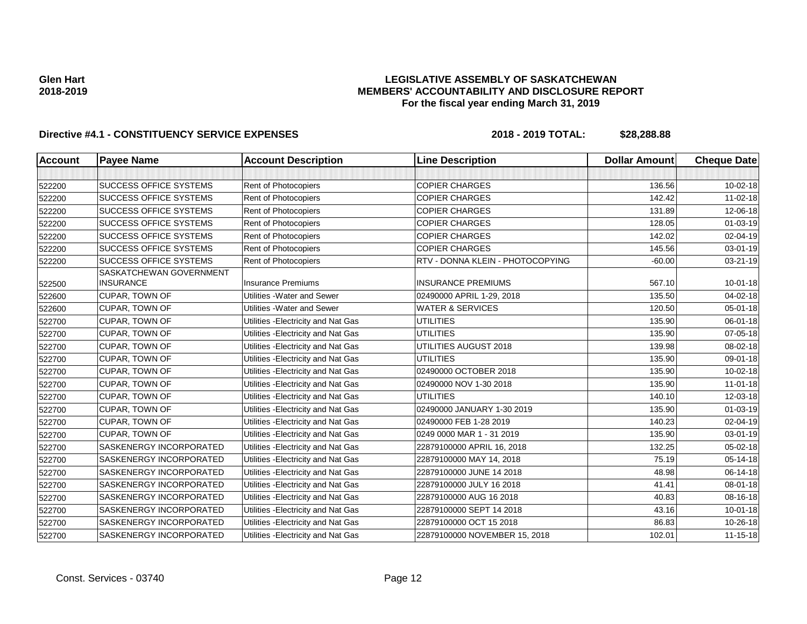# **LEGISLATIVE ASSEMBLY OF SASKATCHEWAN MEMBERS' ACCOUNTABILITY AND DISCLOSURE REPORT For the fiscal year ending March 31, 2019**

| <b>Account</b> | <b>Payee Name</b>                           | <b>Account Description</b>          | <b>Line Description</b>          | <b>Dollar Amount</b> | <b>Cheque Date</b> |
|----------------|---------------------------------------------|-------------------------------------|----------------------------------|----------------------|--------------------|
|                |                                             |                                     |                                  |                      |                    |
| 522200         | <b>SUCCESS OFFICE SYSTEMS</b>               | Rent of Photocopiers                | <b>COPIER CHARGES</b>            | 136.56               | $10 - 02 - 18$     |
| 522200         | <b>SUCCESS OFFICE SYSTEMS</b>               | Rent of Photocopiers                | <b>COPIER CHARGES</b>            | 142.42               | $11 - 02 - 18$     |
| 522200         | <b>SUCCESS OFFICE SYSTEMS</b>               | Rent of Photocopiers                | <b>COPIER CHARGES</b>            | 131.89               | 12-06-18           |
| 522200         | <b>SUCCESS OFFICE SYSTEMS</b>               | Rent of Photocopiers                | <b>COPIER CHARGES</b>            | 128.05               | 01-03-19           |
| 522200         | <b>SUCCESS OFFICE SYSTEMS</b>               | Rent of Photocopiers                | <b>COPIER CHARGES</b>            | 142.02               | 02-04-19           |
| 522200         | <b>SUCCESS OFFICE SYSTEMS</b>               | Rent of Photocopiers                | <b>COPIER CHARGES</b>            | 145.56               | 03-01-19           |
| 522200         | <b>SUCCESS OFFICE SYSTEMS</b>               | Rent of Photocopiers                | RTV - DONNA KLEIN - PHOTOCOPYING | $-60.00$             | 03-21-19           |
| 522500         | SASKATCHEWAN GOVERNMENT<br><b>INSURANCE</b> | <b>Insurance Premiums</b>           | <b>INSURANCE PREMIUMS</b>        | 567.10               | $10 - 01 - 18$     |
| 522600         | CUPAR, TOWN OF                              | Utilities - Water and Sewer         | 02490000 APRIL 1-29, 2018        | 135.50               | $04 - 02 - 18$     |
| 522600         | CUPAR, TOWN OF                              | Utilities - Water and Sewer         | <b>WATER &amp; SERVICES</b>      | 120.50               | 05-01-18           |
| 522700         | <b>CUPAR, TOWN OF</b>                       | Utilities - Electricity and Nat Gas | <b>UTILITIES</b>                 | 135.90               | 06-01-18           |
| 522700         | <b>CUPAR, TOWN OF</b>                       | Utilities - Electricity and Nat Gas | <b>UTILITIES</b>                 | 135.90               | 07-05-18           |
| 522700         | CUPAR, TOWN OF                              | Utilities - Electricity and Nat Gas | UTILITIES AUGUST 2018            | 139.98               | 08-02-18           |
| 522700         | <b>CUPAR, TOWN OF</b>                       | Utilities - Electricity and Nat Gas | <b>UTILITIES</b>                 | 135.90               | 09-01-18           |
| 522700         | CUPAR, TOWN OF                              | Utilities - Electricity and Nat Gas | 02490000 OCTOBER 2018            | 135.90               | $10 - 02 - 18$     |
| 522700         | <b>CUPAR, TOWN OF</b>                       | Utilities - Electricity and Nat Gas | 02490000 NOV 1-30 2018           | 135.90               | $11 - 01 - 18$     |
| 522700         | CUPAR, TOWN OF                              | Utilities - Electricity and Nat Gas | <b>UTILITIES</b>                 | 140.10               | 12-03-18           |
| 522700         | <b>CUPAR, TOWN OF</b>                       | Utilities - Electricity and Nat Gas | 02490000 JANUARY 1-30 2019       | 135.90               | $01 - 03 - 19$     |
| 522700         | CUPAR, TOWN OF                              | Utilities - Electricity and Nat Gas | 02490000 FEB 1-28 2019           | 140.23               | 02-04-19           |
| 522700         | <b>CUPAR, TOWN OF</b>                       | Utilities - Electricity and Nat Gas | 0249 0000 MAR 1 - 31 2019        | 135.90               | 03-01-19           |
| 522700         | <b>SASKENERGY INCORPORATED</b>              | Utilities - Electricity and Nat Gas | 22879100000 APRIL 16, 2018       | 132.25               | 05-02-18           |
| 522700         | SASKENERGY INCORPORATED                     | Utilities - Electricity and Nat Gas | 22879100000 MAY 14, 2018         | 75.19                | 05-14-18           |
| 522700         | SASKENERGY INCORPORATED                     | Utilities - Electricity and Nat Gas | 22879100000 JUNE 14 2018         | 48.98                | 06-14-18           |
| 522700         | SASKENERGY INCORPORATED                     | Utilities - Electricity and Nat Gas | 22879100000 JULY 16 2018         | 41.41                | 08-01-18           |
| 522700         | <b>SASKENERGY INCORPORATED</b>              | Utilities - Electricity and Nat Gas | 22879100000 AUG 16 2018          | 40.83                | 08-16-18           |
| 522700         | SASKENERGY INCORPORATED                     | Utilities - Electricity and Nat Gas | 22879100000 SEPT 14 2018         | 43.16                | $10 - 01 - 18$     |
| 522700         | SASKENERGY INCORPORATED                     | Utilities - Electricity and Nat Gas | 22879100000 OCT 15 2018          | 86.83                | 10-26-18           |
| 522700         | SASKENERGY INCORPORATED                     | Utilities - Electricity and Nat Gas | 22879100000 NOVEMBER 15, 2018    | 102.01               | $11 - 15 - 18$     |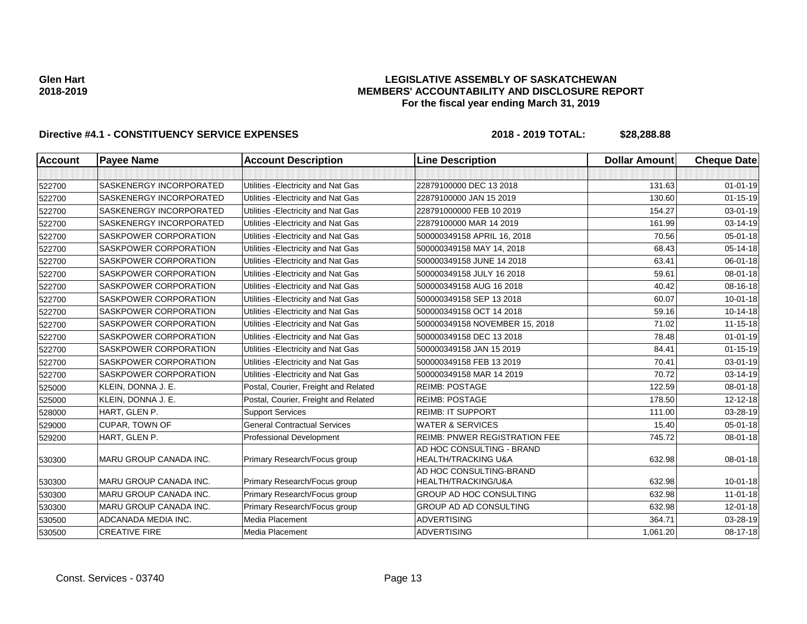## **LEGISLATIVE ASSEMBLY OF SASKATCHEWAN MEMBERS' ACCOUNTABILITY AND DISCLOSURE REPORT For the fiscal year ending March 31, 2019**

| <b>Account</b> | <b>Payee Name</b>              | <b>Account Description</b>           | <b>Line Description</b>                                     | <b>Dollar Amount</b> | <b>Cheque Date</b> |
|----------------|--------------------------------|--------------------------------------|-------------------------------------------------------------|----------------------|--------------------|
|                |                                |                                      |                                                             |                      |                    |
| 522700         | <b>SASKENERGY INCORPORATED</b> | Utilities - Electricity and Nat Gas  | 22879100000 DEC 13 2018                                     | 131.63               | $01 - 01 - 19$     |
| 522700         | <b>SASKENERGY INCORPORATED</b> | Utilities - Electricity and Nat Gas  | 22879100000 JAN 15 2019                                     | 130.60               | $01 - 15 - 19$     |
| 522700         | SASKENERGY INCORPORATED        | Utilities - Electricity and Nat Gas  | 228791000000 FEB 10 2019                                    | 154.27               | 03-01-19           |
| 522700         | SASKENERGY INCORPORATED        | Utilities - Electricity and Nat Gas  | 22879100000 MAR 14 2019                                     | 161.99               | 03-14-19           |
| 522700         | <b>SASKPOWER CORPORATION</b>   | Utilities - Electricity and Nat Gas  | 500000349158 APRIL 16, 2018                                 | 70.56                | $05 - 01 - 18$     |
| 522700         | <b>SASKPOWER CORPORATION</b>   | Utilities - Electricity and Nat Gas  | 500000349158 MAY 14, 2018                                   | 68.43                | $05 - 14 - 18$     |
| 522700         | <b>SASKPOWER CORPORATION</b>   | Utilities - Electricity and Nat Gas  | 500000349158 JUNE 14 2018                                   | 63.41                | 06-01-18           |
| 522700         | <b>SASKPOWER CORPORATION</b>   | Utilities - Electricity and Nat Gas  | 500000349158 JULY 16 2018                                   | 59.61                | 08-01-18           |
| 522700         | <b>SASKPOWER CORPORATION</b>   | Utilities - Electricity and Nat Gas  | 500000349158 AUG 16 2018                                    | 40.42                | 08-16-18           |
| 522700         | <b>SASKPOWER CORPORATION</b>   | Utilities - Electricity and Nat Gas  | 500000349158 SEP 13 2018                                    | 60.07                | $10 - 01 - 18$     |
| 522700         | SASKPOWER CORPORATION          | Utilities - Electricity and Nat Gas  | 500000349158 OCT 14 2018                                    | 59.16                | $10 - 14 - 18$     |
| 522700         | SASKPOWER CORPORATION          | Utilities - Electricity and Nat Gas  | 500000349158 NOVEMBER 15, 2018                              | 71.02                | $11 - 15 - 18$     |
| 522700         | <b>SASKPOWER CORPORATION</b>   | Utilities - Electricity and Nat Gas  | 500000349158 DEC 13 2018                                    | 78.48                | $01 - 01 - 19$     |
| 522700         | <b>SASKPOWER CORPORATION</b>   | Utilities - Electricity and Nat Gas  | 500000349158 JAN 15 2019                                    | 84.41                | $01 - 15 - 19$     |
| 522700         | SASKPOWER CORPORATION          | Utilities - Electricity and Nat Gas  | 500000349158 FEB 13 2019                                    | 70.41                | 03-01-19           |
| 522700         | SASKPOWER CORPORATION          | Utilities - Electricity and Nat Gas  | 500000349158 MAR 14 2019                                    | 70.72                | 03-14-19           |
| 525000         | KLEIN, DONNA J. E.             | Postal, Courier, Freight and Related | <b>REIMB: POSTAGE</b>                                       | 122.59               | $08 - 01 - 18$     |
| 525000         | KLEIN, DONNA J. E.             | Postal, Courier, Freight and Related | <b>REIMB: POSTAGE</b>                                       | 178.50               | 12-12-18           |
| 528000         | HART, GLEN P.                  | <b>Support Services</b>              | <b>REIMB: IT SUPPORT</b>                                    | 111.00               | 03-28-19           |
| 529000         | <b>CUPAR, TOWN OF</b>          | <b>General Contractual Services</b>  | <b>WATER &amp; SERVICES</b>                                 | 15.40                | $05 - 01 - 18$     |
| 529200         | HART, GLEN P.                  | <b>Professional Development</b>      | <b>REIMB: PNWER REGISTRATION FEE</b>                        | 745.72               | $08 - 01 - 18$     |
| 530300         | MARU GROUP CANADA INC.         | Primary Research/Focus group         | AD HOC CONSULTING - BRAND<br><b>HEALTH/TRACKING U&amp;A</b> | 632.98               | 08-01-18           |
| 530300         | <b>MARU GROUP CANADA INC.</b>  | Primary Research/Focus group         | AD HOC CONSULTING-BRAND<br>HEALTH/TRACKING/U&A              | 632.98               | $10 - 01 - 18$     |
| 530300         | <b>MARU GROUP CANADA INC.</b>  | Primary Research/Focus group         | <b>GROUP AD HOC CONSULTING</b>                              | 632.98               | $11 - 01 - 18$     |
| 530300         | <b>MARU GROUP CANADA INC.</b>  | Primary Research/Focus group         | <b>GROUP AD AD CONSULTING</b>                               | 632.98               | $12 - 01 - 18$     |
| 530500         | ADCANADA MEDIA INC.            | Media Placement                      | <b>ADVERTISING</b>                                          | 364.71               | 03-28-19           |
| 530500         | <b>CREATIVE FIRE</b>           | Media Placement                      | <b>ADVERTISING</b>                                          | 1,061.20             | 08-17-18           |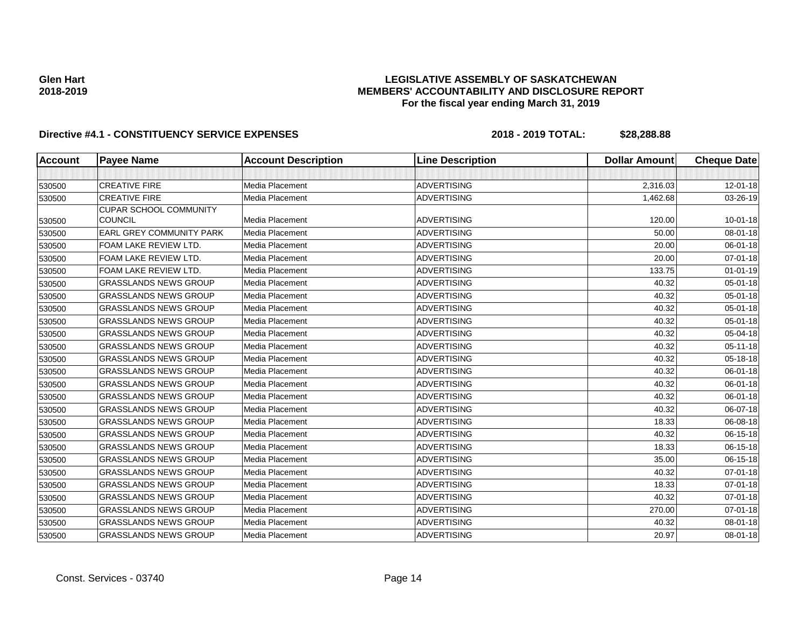# **LEGISLATIVE ASSEMBLY OF SASKATCHEWAN MEMBERS' ACCOUNTABILITY AND DISCLOSURE REPORT For the fiscal year ending March 31, 2019**

| Account | <b>Payee Name</b>               | <b>Account Description</b> | <b>Line Description</b> | <b>Dollar Amount</b> | <b>Cheque Date</b> |
|---------|---------------------------------|----------------------------|-------------------------|----------------------|--------------------|
|         |                                 |                            |                         |                      |                    |
| 530500  | <b>CREATIVE FIRE</b>            | Media Placement            | <b>ADVERTISING</b>      | 2,316.03             | 12-01-18           |
| 530500  | <b>CREATIVE FIRE</b>            | Media Placement            | <b>ADVERTISING</b>      | 1,462.68             | 03-26-19           |
|         | <b>CUPAR SCHOOL COMMUNITY</b>   |                            |                         |                      |                    |
| 530500  | <b>COUNCIL</b>                  | Media Placement            | <b>ADVERTISING</b>      | 120.00               | $10 - 01 - 18$     |
| 530500  | <b>EARL GREY COMMUNITY PARK</b> | Media Placement            | <b>ADVERTISING</b>      | 50.00                | 08-01-18           |
| 530500  | FOAM LAKE REVIEW LTD.           | Media Placement            | <b>ADVERTISING</b>      | 20.00                | 06-01-18           |
| 530500  | FOAM LAKE REVIEW LTD.           | Media Placement            | <b>ADVERTISING</b>      | 20.00                | $07 - 01 - 18$     |
| 530500  | FOAM LAKE REVIEW LTD.           | Media Placement            | <b>ADVERTISING</b>      | 133.75               | $01 - 01 - 19$     |
| 530500  | <b>GRASSLANDS NEWS GROUP</b>    | Media Placement            | <b>ADVERTISING</b>      | 40.32                | 05-01-18           |
| 530500  | <b>GRASSLANDS NEWS GROUP</b>    | Media Placement            | ADVERTISING             | 40.32                | 05-01-18           |
| 530500  | <b>GRASSLANDS NEWS GROUP</b>    | Media Placement            | <b>ADVERTISING</b>      | 40.32                | 05-01-18           |
| 530500  | <b>GRASSLANDS NEWS GROUP</b>    | Media Placement            | <b>ADVERTISING</b>      | 40.32                | $05 - 01 - 18$     |
| 530500  | <b>GRASSLANDS NEWS GROUP</b>    | Media Placement            | <b>ADVERTISING</b>      | 40.32                | 05-04-18           |
| 530500  | <b>GRASSLANDS NEWS GROUP</b>    | Media Placement            | <b>ADVERTISING</b>      | 40.32                | $05 - 11 - 18$     |
| 530500  | <b>GRASSLANDS NEWS GROUP</b>    | Media Placement            | <b>ADVERTISING</b>      | 40.32                | 05-18-18           |
| 530500  | <b>GRASSLANDS NEWS GROUP</b>    | Media Placement            | <b>ADVERTISING</b>      | 40.32                | 06-01-18           |
| 530500  | <b>GRASSLANDS NEWS GROUP</b>    | Media Placement            | <b>ADVERTISING</b>      | 40.32                | 06-01-18           |
| 530500  | <b>GRASSLANDS NEWS GROUP</b>    | Media Placement            | <b>ADVERTISING</b>      | 40.32                | 06-01-18           |
| 530500  | <b>GRASSLANDS NEWS GROUP</b>    | Media Placement            | <b>ADVERTISING</b>      | 40.32                | 06-07-18           |
| 530500  | <b>GRASSLANDS NEWS GROUP</b>    | Media Placement            | <b>ADVERTISING</b>      | 18.33                | 06-08-18           |
| 530500  | <b>GRASSLANDS NEWS GROUP</b>    | Media Placement            | <b>ADVERTISING</b>      | 40.32                | 06-15-18           |
| 530500  | <b>GRASSLANDS NEWS GROUP</b>    | Media Placement            | <b>ADVERTISING</b>      | 18.33                | 06-15-18           |
| 530500  | <b>GRASSLANDS NEWS GROUP</b>    | Media Placement            | <b>ADVERTISING</b>      | 35.00                | 06-15-18           |
| 530500  | <b>GRASSLANDS NEWS GROUP</b>    | Media Placement            | <b>ADVERTISING</b>      | 40.32                | 07-01-18           |
| 530500  | <b>GRASSLANDS NEWS GROUP</b>    | Media Placement            | <b>ADVERTISING</b>      | 18.33                | 07-01-18           |
| 530500  | <b>GRASSLANDS NEWS GROUP</b>    | Media Placement            | <b>ADVERTISING</b>      | 40.32                | 07-01-18           |
| 530500  | <b>GRASSLANDS NEWS GROUP</b>    | Media Placement            | <b>ADVERTISING</b>      | 270.00               | 07-01-18           |
| 530500  | <b>GRASSLANDS NEWS GROUP</b>    | Media Placement            | <b>ADVERTISING</b>      | 40.32                | 08-01-18           |
| 530500  | <b>GRASSLANDS NEWS GROUP</b>    | Media Placement            | <b>ADVERTISING</b>      | 20.97                | 08-01-18           |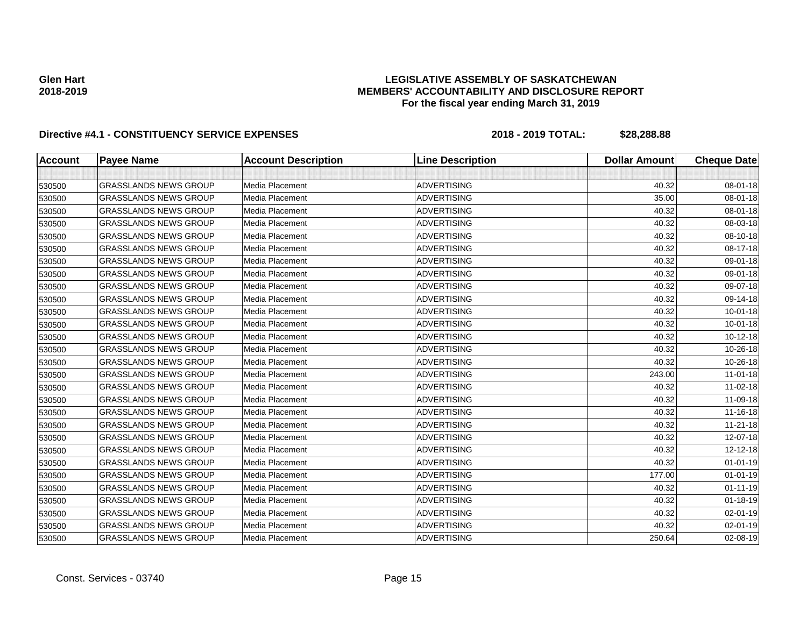# **LEGISLATIVE ASSEMBLY OF SASKATCHEWAN MEMBERS' ACCOUNTABILITY AND DISCLOSURE REPORT For the fiscal year ending March 31, 2019**

| <b>Account</b> | <b>Payee Name</b>            | <b>Account Description</b> | <b>Line Description</b> | <b>Dollar Amount</b> | <b>Cheque Date</b> |
|----------------|------------------------------|----------------------------|-------------------------|----------------------|--------------------|
|                |                              |                            |                         |                      |                    |
| 530500         | <b>GRASSLANDS NEWS GROUP</b> | Media Placement            | <b>ADVERTISING</b>      | 40.32                | 08-01-18           |
| 530500         | <b>GRASSLANDS NEWS GROUP</b> | Media Placement            | <b>ADVERTISING</b>      | 35.00                | 08-01-18           |
| 530500         | <b>GRASSLANDS NEWS GROUP</b> | Media Placement            | <b>ADVERTISING</b>      | 40.32                | 08-01-18           |
| 530500         | <b>GRASSLANDS NEWS GROUP</b> | Media Placement            | <b>ADVERTISING</b>      | 40.32                | 08-03-18           |
| 530500         | <b>GRASSLANDS NEWS GROUP</b> | Media Placement            | <b>ADVERTISING</b>      | 40.32                | 08-10-18           |
| 530500         | <b>GRASSLANDS NEWS GROUP</b> | Media Placement            | <b>ADVERTISING</b>      | 40.32                | 08-17-18           |
| 530500         | <b>GRASSLANDS NEWS GROUP</b> | Media Placement            | <b>ADVERTISING</b>      | 40.32                | 09-01-18           |
| 530500         | <b>GRASSLANDS NEWS GROUP</b> | Media Placement            | <b>ADVERTISING</b>      | 40.32                | 09-01-18           |
| 530500         | <b>GRASSLANDS NEWS GROUP</b> | Media Placement            | <b>ADVERTISING</b>      | 40.32                | 09-07-18           |
| 530500         | <b>GRASSLANDS NEWS GROUP</b> | Media Placement            | <b>ADVERTISING</b>      | 40.32                | 09-14-18           |
| 530500         | <b>GRASSLANDS NEWS GROUP</b> | Media Placement            | <b>ADVERTISING</b>      | 40.32                | $10 - 01 - 18$     |
| 530500         | <b>GRASSLANDS NEWS GROUP</b> | Media Placement            | <b>ADVERTISING</b>      | 40.32                | $10 - 01 - 18$     |
| 530500         | <b>GRASSLANDS NEWS GROUP</b> | Media Placement            | <b>ADVERTISING</b>      | 40.32                | $10-12-18$         |
| 530500         | <b>GRASSLANDS NEWS GROUP</b> | Media Placement            | <b>ADVERTISING</b>      | 40.32                | 10-26-18           |
| 530500         | <b>GRASSLANDS NEWS GROUP</b> | Media Placement            | <b>ADVERTISING</b>      | 40.32                | 10-26-18           |
| 530500         | <b>GRASSLANDS NEWS GROUP</b> | Media Placement            | <b>ADVERTISING</b>      | 243.00               | $11-01-18$         |
| 530500         | <b>GRASSLANDS NEWS GROUP</b> | Media Placement            | <b>ADVERTISING</b>      | 40.32                | 11-02-18           |
| 530500         | <b>GRASSLANDS NEWS GROUP</b> | Media Placement            | <b>ADVERTISING</b>      | 40.32                | 11-09-18           |
| 530500         | <b>GRASSLANDS NEWS GROUP</b> | Media Placement            | <b>ADVERTISING</b>      | 40.32                | 11-16-18           |
| 530500         | <b>GRASSLANDS NEWS GROUP</b> | Media Placement            | <b>ADVERTISING</b>      | 40.32                | $11 - 21 - 18$     |
| 530500         | <b>GRASSLANDS NEWS GROUP</b> | Media Placement            | <b>ADVERTISING</b>      | 40.32                | 12-07-18           |
| 530500         | <b>GRASSLANDS NEWS GROUP</b> | Media Placement            | <b>ADVERTISING</b>      | 40.32                | $12 - 12 - 18$     |
| 530500         | <b>GRASSLANDS NEWS GROUP</b> | Media Placement            | <b>ADVERTISING</b>      | 40.32                | $01 - 01 - 19$     |
| 530500         | <b>GRASSLANDS NEWS GROUP</b> | Media Placement            | <b>ADVERTISING</b>      | 177.00               | $01 - 01 - 19$     |
| 530500         | <b>GRASSLANDS NEWS GROUP</b> | Media Placement            | <b>ADVERTISING</b>      | 40.32                | $01 - 11 - 19$     |
| 530500         | <b>GRASSLANDS NEWS GROUP</b> | Media Placement            | <b>ADVERTISING</b>      | 40.32                | $01 - 18 - 19$     |
| 530500         | <b>GRASSLANDS NEWS GROUP</b> | Media Placement            | <b>ADVERTISING</b>      | 40.32                | 02-01-19           |
| 530500         | <b>GRASSLANDS NEWS GROUP</b> | Media Placement            | <b>ADVERTISING</b>      | 40.32                | 02-01-19           |
| 530500         | <b>GRASSLANDS NEWS GROUP</b> | Media Placement            | <b>ADVERTISING</b>      | 250.64               | 02-08-19           |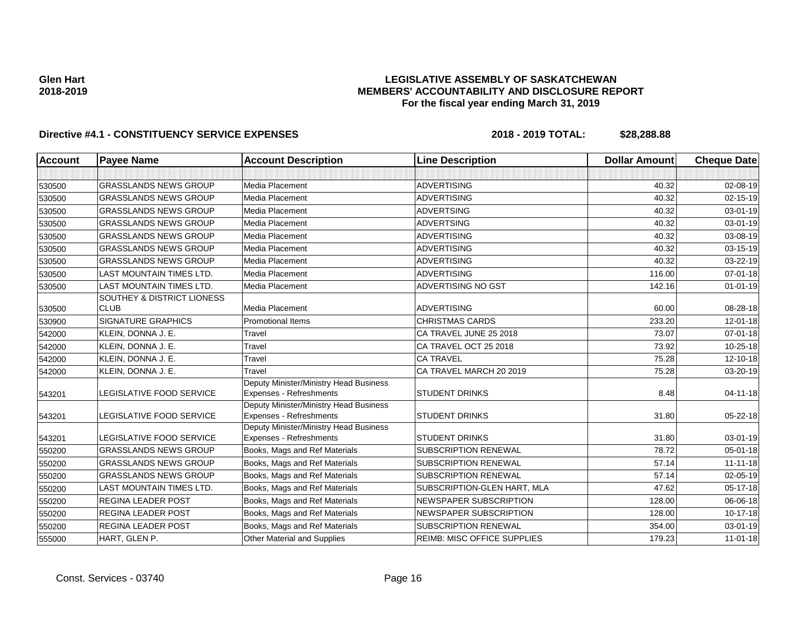# **LEGISLATIVE ASSEMBLY OF SASKATCHEWAN MEMBERS' ACCOUNTABILITY AND DISCLOSURE REPORT For the fiscal year ending March 31, 2019**

| <b>Account</b> | <b>Payee Name</b>                         | <b>Account Description</b>                                        | <b>Line Description</b>            | <b>Dollar Amount</b> | <b>Cheque Date</b> |
|----------------|-------------------------------------------|-------------------------------------------------------------------|------------------------------------|----------------------|--------------------|
|                |                                           |                                                                   |                                    |                      |                    |
| 530500         | <b>GRASSLANDS NEWS GROUP</b>              | Media Placement                                                   | <b>ADVERTISING</b>                 | 40.32                | 02-08-19           |
| 530500         | <b>GRASSLANDS NEWS GROUP</b>              | Media Placement                                                   | <b>ADVERTISING</b>                 | 40.32                | 02-15-19           |
| 530500         | <b>GRASSLANDS NEWS GROUP</b>              | <b>Media Placement</b>                                            | <b>ADVERTSING</b>                  | 40.32                | 03-01-19           |
| 530500         | <b>GRASSLANDS NEWS GROUP</b>              | Media Placement                                                   | <b>ADVERTSING</b>                  | 40.32                | 03-01-19           |
| 530500         | <b>GRASSLANDS NEWS GROUP</b>              | <b>Media Placement</b>                                            | <b>ADVERTISING</b>                 | 40.32                | 03-08-19           |
| 530500         | <b>GRASSLANDS NEWS GROUP</b>              | Media Placement                                                   | <b>ADVERTISING</b>                 | 40.32                | 03-15-19           |
| 530500         | <b>GRASSLANDS NEWS GROUP</b>              | Media Placement                                                   | <b>ADVERTISING</b>                 | 40.32                | 03-22-19           |
| 530500         | LAST MOUNTAIN TIMES LTD.                  | Media Placement                                                   | <b>ADVERTISING</b>                 | 116.00               | 07-01-18           |
| 530500         | LAST MOUNTAIN TIMES LTD.                  | Media Placement                                                   | <b>ADVERTISING NO GST</b>          | 142.16               | $01 - 01 - 19$     |
| 530500         | SOUTHEY & DISTRICT LIONESS<br><b>CLUB</b> | Media Placement                                                   | <b>ADVERTISING</b>                 | 60.00                | 08-28-18           |
| 530900         | <b>SIGNATURE GRAPHICS</b>                 | <b>Promotional Items</b>                                          | <b>CHRISTMAS CARDS</b>             | 233.20               | 12-01-18           |
| 542000         | KLEIN, DONNA J. E.                        | Travel                                                            | CA TRAVEL JUNE 25 2018             | 73.07                | $07 - 01 - 18$     |
| 542000         | KLEIN, DONNA J. E.                        | Travel                                                            | CA TRAVEL OCT 25 2018              | 73.92                | 10-25-18           |
| 542000         | KLEIN, DONNA J. E.                        | Travel                                                            | <b>CA TRAVEL</b>                   | 75.28                | 12-10-18           |
| 542000         | KLEIN, DONNA J. E.                        | Travel                                                            | CA TRAVEL MARCH 20 2019            | 75.28                | 03-20-19           |
| 543201         | LEGISLATIVE FOOD SERVICE                  | Deputy Minister/Ministry Head Business<br>Expenses - Refreshments | <b>STUDENT DRINKS</b>              | 8.48                 | $04 - 11 - 18$     |
| 543201         | LEGISLATIVE FOOD SERVICE                  | Deputy Minister/Ministry Head Business<br>Expenses - Refreshments | <b>STUDENT DRINKS</b>              | 31.80                | 05-22-18           |
| 543201         | LEGISLATIVE FOOD SERVICE                  | Deputy Minister/Ministry Head Business<br>Expenses - Refreshments | <b>STUDENT DRINKS</b>              | 31.80                | 03-01-19           |
| 550200         | <b>GRASSLANDS NEWS GROUP</b>              | Books, Mags and Ref Materials                                     | <b>SUBSCRIPTION RENEWAL</b>        | 78.72                | $05 - 01 - 18$     |
| 550200         | <b>GRASSLANDS NEWS GROUP</b>              | Books, Mags and Ref Materials                                     | <b>SUBSCRIPTION RENEWAL</b>        | 57.14                | $11 - 11 - 18$     |
| 550200         | <b>GRASSLANDS NEWS GROUP</b>              | Books, Mags and Ref Materials                                     | <b>SUBSCRIPTION RENEWAL</b>        | 57.14                | 02-05-19           |
| 550200         | <b>LAST MOUNTAIN TIMES LTD.</b>           | Books, Mags and Ref Materials                                     | SUBSCRIPTION-GLEN HART, MLA        | 47.62                | 05-17-18           |
| 550200         | <b>REGINA LEADER POST</b>                 | Books, Mags and Ref Materials                                     | NEWSPAPER SUBSCRIPTION             | 128.00               | 06-06-18           |
| 550200         | REGINA LEADER POST                        | Books, Mags and Ref Materials                                     | NEWSPAPER SUBSCRIPTION             | 128.00               | $10-17-18$         |
| 550200         | <b>REGINA LEADER POST</b>                 | Books, Mags and Ref Materials                                     | <b>SUBSCRIPTION RENEWAL</b>        | 354.00               | 03-01-19           |
| 555000         | HART, GLEN P.                             | Other Material and Supplies                                       | <b>REIMB: MISC OFFICE SUPPLIES</b> | 179.23               | $11-01-18$         |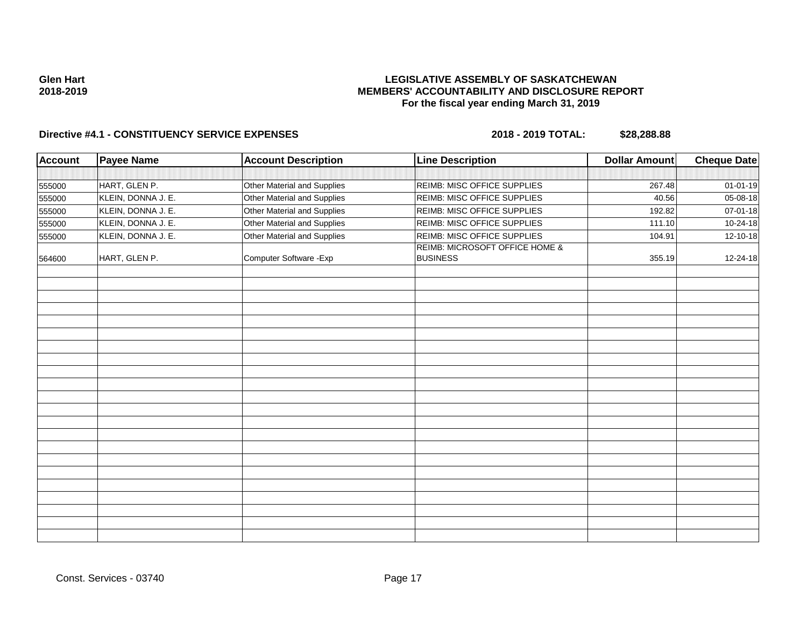# **LEGISLATIVE ASSEMBLY OF SASKATCHEWAN MEMBERS' ACCOUNTABILITY AND DISCLOSURE REPORT For the fiscal year ending March 31, 2019**

| Account | <b>Payee Name</b>  | <b>Account Description</b>  | <b>Line Description</b>                           | <b>Dollar Amount</b> | <b>Cheque Date</b> |
|---------|--------------------|-----------------------------|---------------------------------------------------|----------------------|--------------------|
|         |                    |                             |                                                   |                      |                    |
| 555000  | HART, GLEN P.      | Other Material and Supplies | REIMB: MISC OFFICE SUPPLIES                       | 267.48               | $01 - 01 - 19$     |
| 555000  | KLEIN, DONNA J. E. | Other Material and Supplies | REIMB: MISC OFFICE SUPPLIES                       | 40.56                | 05-08-18           |
| 555000  | KLEIN, DONNA J. E. | Other Material and Supplies | REIMB: MISC OFFICE SUPPLIES                       | 192.82               | 07-01-18           |
| 555000  | KLEIN, DONNA J. E. | Other Material and Supplies | REIMB: MISC OFFICE SUPPLIES                       | 111.10               | 10-24-18           |
| 555000  | KLEIN, DONNA J. E. | Other Material and Supplies | REIMB: MISC OFFICE SUPPLIES                       | 104.91               | 12-10-18           |
| 564600  | HART, GLEN P.      | Computer Software - Exp     | REIMB: MICROSOFT OFFICE HOME &<br><b>BUSINESS</b> | 355.19               | 12-24-18           |
|         |                    |                             |                                                   |                      |                    |
|         |                    |                             |                                                   |                      |                    |
|         |                    |                             |                                                   |                      |                    |
|         |                    |                             |                                                   |                      |                    |
|         |                    |                             |                                                   |                      |                    |
|         |                    |                             |                                                   |                      |                    |
|         |                    |                             |                                                   |                      |                    |
|         |                    |                             |                                                   |                      |                    |
|         |                    |                             |                                                   |                      |                    |
|         |                    |                             |                                                   |                      |                    |
|         |                    |                             |                                                   |                      |                    |
|         |                    |                             |                                                   |                      |                    |
|         |                    |                             |                                                   |                      |                    |
|         |                    |                             |                                                   |                      |                    |
|         |                    |                             |                                                   |                      |                    |
|         |                    |                             |                                                   |                      |                    |
|         |                    |                             |                                                   |                      |                    |
|         |                    |                             |                                                   |                      |                    |
|         |                    |                             |                                                   |                      |                    |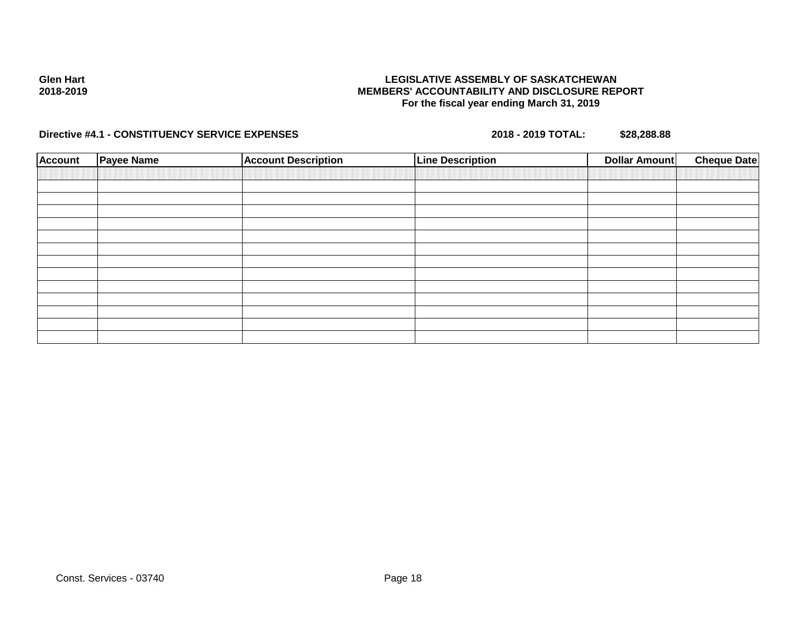**Directive #4.1 - CONSTITUENCY SERVICE EXPENSES 2018 - 2019 TOTAL: \$28,288.88**

| <b>Account</b> | <b>Payee Name</b> | <b>Account Description</b> | <b>Line Description</b> | <b>Dollar Amount</b> | <b>Cheque Date</b> |
|----------------|-------------------|----------------------------|-------------------------|----------------------|--------------------|
|                |                   |                            |                         |                      |                    |
|                |                   |                            |                         |                      |                    |
|                |                   |                            |                         |                      |                    |
|                |                   |                            |                         |                      |                    |
|                |                   |                            |                         |                      |                    |
|                |                   |                            |                         |                      |                    |
|                |                   |                            |                         |                      |                    |
|                |                   |                            |                         |                      |                    |
|                |                   |                            |                         |                      |                    |
|                |                   |                            |                         |                      |                    |
|                |                   |                            |                         |                      |                    |
|                |                   |                            |                         |                      |                    |
|                |                   |                            |                         |                      |                    |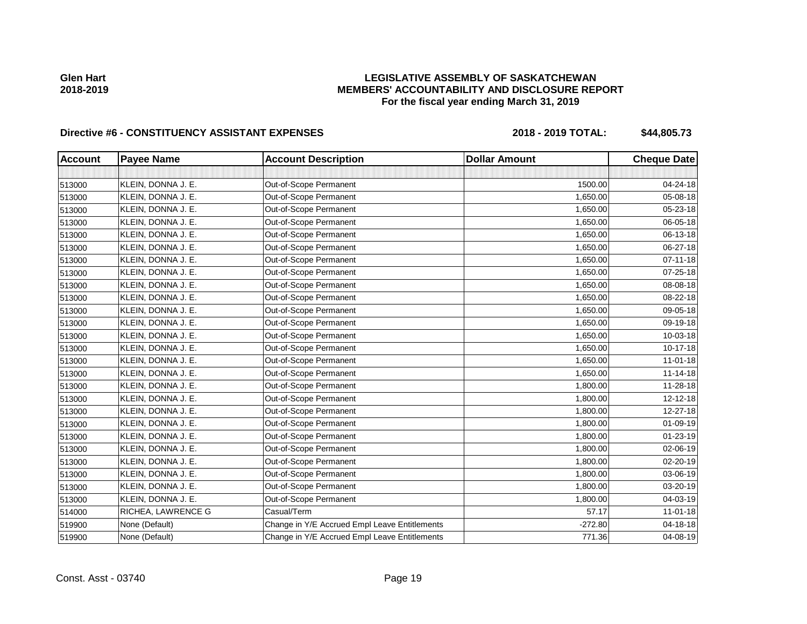# **LEGISLATIVE ASSEMBLY OF SASKATCHEWAN MEMBERS' ACCOUNTABILITY AND DISCLOSURE REPORT For the fiscal year ending March 31, 2019**

| <b>Account</b> | <b>Payee Name</b>  | <b>Account Description</b>                    | <b>Dollar Amount</b> | <b>Cheque Date</b> |
|----------------|--------------------|-----------------------------------------------|----------------------|--------------------|
|                |                    |                                               |                      |                    |
| 513000         | KLEIN, DONNA J. E. | Out-of-Scope Permanent                        | 1500.00              | 04-24-18           |
| 513000         | KLEIN, DONNA J. E. | Out-of-Scope Permanent                        | 1,650.00             | 05-08-18           |
| 513000         | KLEIN, DONNA J. E. | Out-of-Scope Permanent                        | 1,650.00             | 05-23-18           |
| 513000         | KLEIN, DONNA J. E. | Out-of-Scope Permanent                        | 1,650.00             | 06-05-18           |
| 513000         | KLEIN, DONNA J. E. | Out-of-Scope Permanent                        | 1,650.00             | 06-13-18           |
| 513000         | KLEIN, DONNA J. E. | Out-of-Scope Permanent                        | 1,650.00             | 06-27-18           |
| 513000         | KLEIN, DONNA J. E. | Out-of-Scope Permanent                        | 1,650.00             | $07 - 11 - 18$     |
| 513000         | KLEIN, DONNA J. E. | Out-of-Scope Permanent                        | 1,650.00             | $07 - 25 - 18$     |
| 513000         | KLEIN, DONNA J. E. | Out-of-Scope Permanent                        | 1,650.00             | 08-08-18           |
| 513000         | KLEIN, DONNA J. E. | Out-of-Scope Permanent                        | 1,650.00             | 08-22-18           |
| 513000         | KLEIN, DONNA J. E. | Out-of-Scope Permanent                        | 1,650.00             | 09-05-18           |
| 513000         | KLEIN, DONNA J. E. | Out-of-Scope Permanent                        | 1,650.00             | 09-19-18           |
| 513000         | KLEIN, DONNA J. E. | Out-of-Scope Permanent                        | 1,650.00             | 10-03-18           |
| 513000         | KLEIN, DONNA J. E. | Out-of-Scope Permanent                        | 1,650.00             | 10-17-18           |
| 513000         | KLEIN, DONNA J. E. | Out-of-Scope Permanent                        | 1,650.00             | $11-01-18$         |
| 513000         | KLEIN, DONNA J. E. | Out-of-Scope Permanent                        | 1,650.00             | $11 - 14 - 18$     |
| 513000         | KLEIN, DONNA J. E. | Out-of-Scope Permanent                        | 1,800.00             | 11-28-18           |
| 513000         | KLEIN, DONNA J. E. | Out-of-Scope Permanent                        | 1,800.00             | 12-12-18           |
| 513000         | KLEIN, DONNA J. E. | Out-of-Scope Permanent                        | 1,800.00             | 12-27-18           |
| 513000         | KLEIN, DONNA J. E. | Out-of-Scope Permanent                        | 1,800.00             | $01 - 09 - 19$     |
| 513000         | KLEIN, DONNA J. E. | Out-of-Scope Permanent                        | 1,800.00             | $01 - 23 - 19$     |
| 513000         | KLEIN, DONNA J. E. | Out-of-Scope Permanent                        | 1,800.00             | 02-06-19           |
| 513000         | KLEIN, DONNA J. E. | Out-of-Scope Permanent                        | 1,800.00             | 02-20-19           |
| 513000         | KLEIN, DONNA J. E. | Out-of-Scope Permanent                        | 1,800.00             | 03-06-19           |
| 513000         | KLEIN, DONNA J. E. | Out-of-Scope Permanent                        | 1,800.00             | 03-20-19           |
| 513000         | KLEIN, DONNA J. E. | Out-of-Scope Permanent                        | 1,800.00             | 04-03-19           |
| 514000         | RICHEA, LAWRENCE G | Casual/Term                                   | 57.17                | 11-01-18           |
| 519900         | None (Default)     | Change in Y/E Accrued Empl Leave Entitlements | $-272.80$            | 04-18-18           |
| 519900         | None (Default)     | Change in Y/E Accrued Empl Leave Entitlements | 771.36               | 04-08-19           |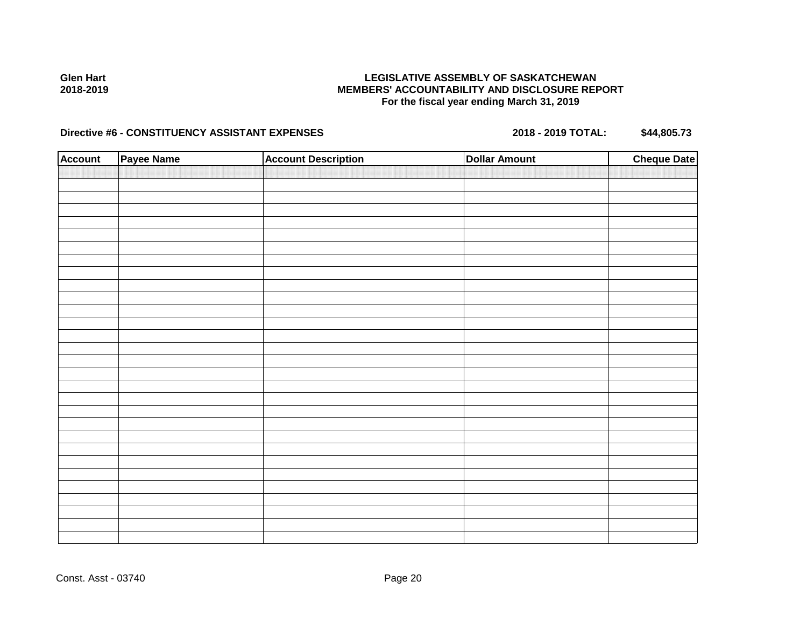# **LEGISLATIVE ASSEMBLY OF SASKATCHEWAN MEMBERS' ACCOUNTABILITY AND DISCLOSURE REPORT For the fiscal year ending March 31, 2019**

| <b>Account</b> | Payee Name | <b>Account Description</b> | <b>Dollar Amount</b> | <b>Cheque Date</b> |
|----------------|------------|----------------------------|----------------------|--------------------|
|                |            |                            |                      |                    |
|                |            |                            |                      |                    |
|                |            |                            |                      |                    |
|                |            |                            |                      |                    |
|                |            |                            |                      |                    |
|                |            |                            |                      |                    |
|                |            |                            |                      |                    |
|                |            |                            |                      |                    |
|                |            |                            |                      |                    |
|                |            |                            |                      |                    |
|                |            |                            |                      |                    |
|                |            |                            |                      |                    |
|                |            |                            |                      |                    |
|                |            |                            |                      |                    |
|                |            |                            |                      |                    |
|                |            |                            |                      |                    |
|                |            |                            |                      |                    |
|                |            |                            |                      |                    |
|                |            |                            |                      |                    |
|                |            |                            |                      |                    |
|                |            |                            |                      |                    |
|                |            |                            |                      |                    |
|                |            |                            |                      |                    |
|                |            |                            |                      |                    |
|                |            |                            |                      |                    |
|                |            |                            |                      |                    |
|                |            |                            |                      |                    |
|                |            |                            |                      |                    |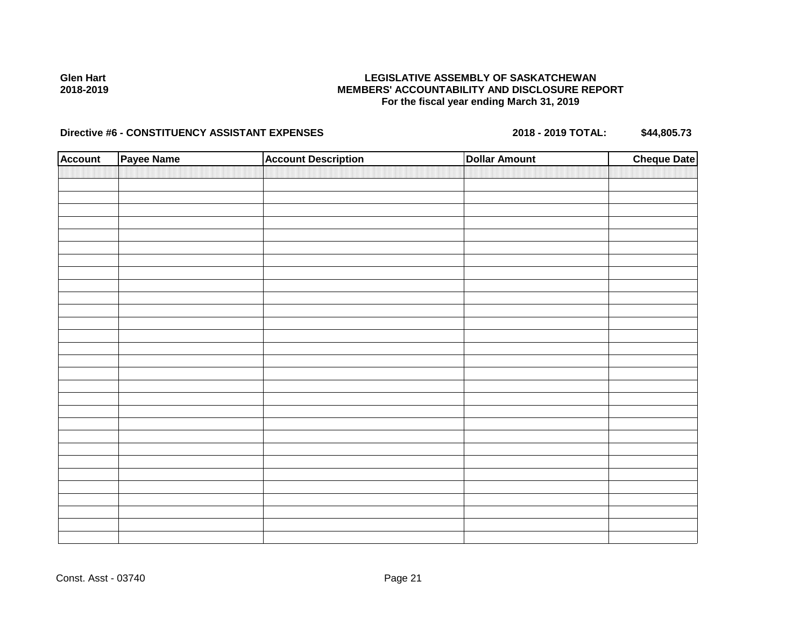# **LEGISLATIVE ASSEMBLY OF SASKATCHEWAN MEMBERS' ACCOUNTABILITY AND DISCLOSURE REPORT For the fiscal year ending March 31, 2019**

| <b>Account</b> | Payee Name | <b>Account Description</b> | <b>Dollar Amount</b> | <b>Cheque Date</b> |
|----------------|------------|----------------------------|----------------------|--------------------|
|                |            |                            |                      |                    |
|                |            |                            |                      |                    |
|                |            |                            |                      |                    |
|                |            |                            |                      |                    |
|                |            |                            |                      |                    |
|                |            |                            |                      |                    |
|                |            |                            |                      |                    |
|                |            |                            |                      |                    |
|                |            |                            |                      |                    |
|                |            |                            |                      |                    |
|                |            |                            |                      |                    |
|                |            |                            |                      |                    |
|                |            |                            |                      |                    |
|                |            |                            |                      |                    |
|                |            |                            |                      |                    |
|                |            |                            |                      |                    |
|                |            |                            |                      |                    |
|                |            |                            |                      |                    |
|                |            |                            |                      |                    |
|                |            |                            |                      |                    |
|                |            |                            |                      |                    |
|                |            |                            |                      |                    |
|                |            |                            |                      |                    |
|                |            |                            |                      |                    |
|                |            |                            |                      |                    |
|                |            |                            |                      |                    |
|                |            |                            |                      |                    |
|                |            |                            |                      |                    |
|                |            |                            |                      |                    |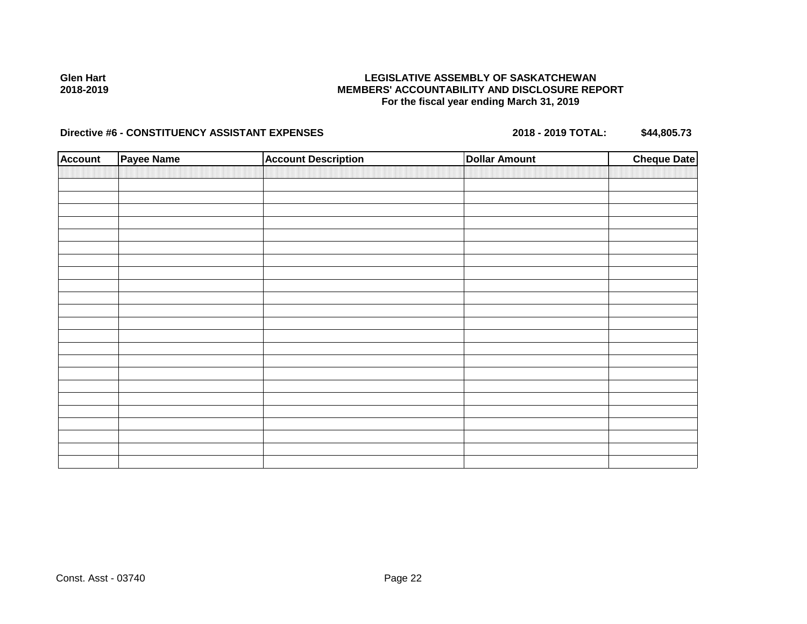# **LEGISLATIVE ASSEMBLY OF SASKATCHEWAN MEMBERS' ACCOUNTABILITY AND DISCLOSURE REPORT For the fiscal year ending March 31, 2019**

| <b>Account</b> | Payee Name | <b>Account Description</b> | Dollar Amount | <b>Cheque Date</b> |
|----------------|------------|----------------------------|---------------|--------------------|
|                |            |                            |               |                    |
|                |            |                            |               |                    |
|                |            |                            |               |                    |
|                |            |                            |               |                    |
|                |            |                            |               |                    |
|                |            |                            |               |                    |
|                |            |                            |               |                    |
|                |            |                            |               |                    |
|                |            |                            |               |                    |
|                |            |                            |               |                    |
|                |            |                            |               |                    |
|                |            |                            |               |                    |
|                |            |                            |               |                    |
|                |            |                            |               |                    |
|                |            |                            |               |                    |
|                |            |                            |               |                    |
|                |            |                            |               |                    |
|                |            |                            |               |                    |
|                |            |                            |               |                    |
|                |            |                            |               |                    |
|                |            |                            |               |                    |
|                |            |                            |               |                    |
|                |            |                            |               |                    |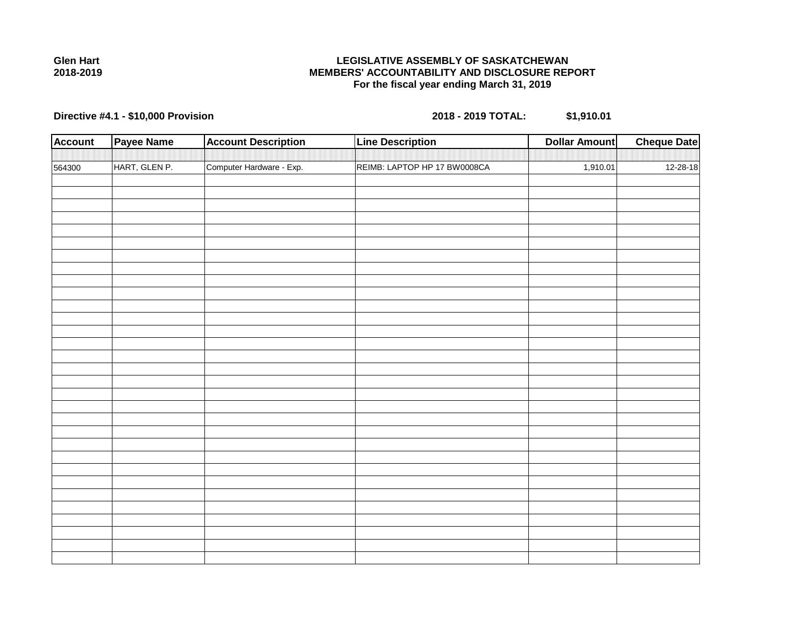

**Directive #4.1 - \$10,000 Provision 2018 - 2019 TOTAL: \$1,910.01**

| <b>Account</b> | <b>Payee Name</b> | <b>Account Description</b> | <b>Line Description</b>      | <b>Dollar Amount</b> | <b>Cheque Date</b> |
|----------------|-------------------|----------------------------|------------------------------|----------------------|--------------------|
|                |                   |                            |                              |                      |                    |
| 564300         | HART, GLEN P.     | Computer Hardware - Exp.   | REIMB: LAPTOP HP 17 BW0008CA | 1,910.01             | $12 - 28 - 18$     |
|                |                   |                            |                              |                      |                    |
|                |                   |                            |                              |                      |                    |
|                |                   |                            |                              |                      |                    |
|                |                   |                            |                              |                      |                    |
|                |                   |                            |                              |                      |                    |
|                |                   |                            |                              |                      |                    |
|                |                   |                            |                              |                      |                    |
|                |                   |                            |                              |                      |                    |
|                |                   |                            |                              |                      |                    |
|                |                   |                            |                              |                      |                    |
|                |                   |                            |                              |                      |                    |
|                |                   |                            |                              |                      |                    |
|                |                   |                            |                              |                      |                    |
|                |                   |                            |                              |                      |                    |
|                |                   |                            |                              |                      |                    |
|                |                   |                            |                              |                      |                    |
|                |                   |                            |                              |                      |                    |
|                |                   |                            |                              |                      |                    |
|                |                   |                            |                              |                      |                    |
|                |                   |                            |                              |                      |                    |
|                |                   |                            |                              |                      |                    |
|                |                   |                            |                              |                      |                    |
|                |                   |                            |                              |                      |                    |
|                |                   |                            |                              |                      |                    |
|                |                   |                            |                              |                      |                    |
|                |                   |                            |                              |                      |                    |
|                |                   |                            |                              |                      |                    |
|                |                   |                            |                              |                      |                    |
|                |                   |                            |                              |                      |                    |

**2018-2019**